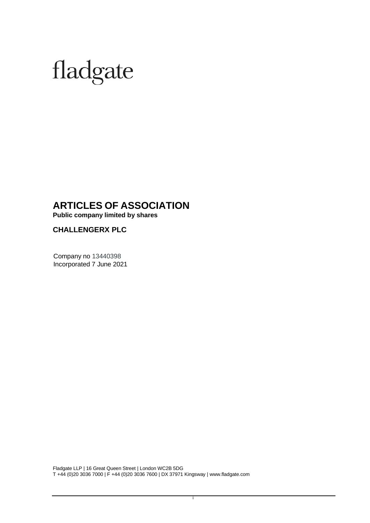# fladgate

## **ARTICLES OF ASSOCIATION**

**Public company limited by shares**

**CHALLENGERX PLC**

Company no 13440398 Incorporated 7 June 2021

Fladgate LLP | 16 Great Queen Street | London WC2B 5DG T +44 (0)20 3036 7000 | F +44 (0)20 3036 7600 | DX 37971 Kingsway [| www.fladgate.com](http://www.fladgate.com/)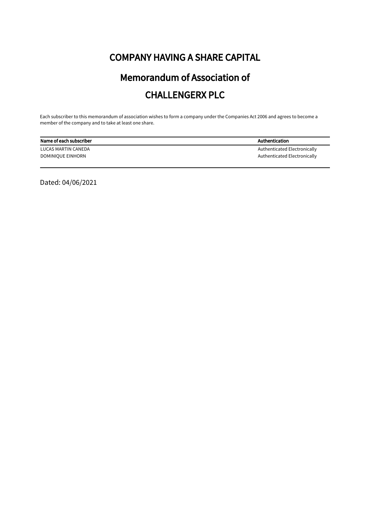# COMPANY HAVING A SHARE CAPITAL

# Memorandum of Association of CHALLENGERX PLC

Each subscriber to this memorandum of association wishes to form a company under the Companies Act 2006 and agrees to become a member of the company and to take at least one share.

| Name of each subscriber | Authentication               |
|-------------------------|------------------------------|
| LUCAS MARTIN CANEDA     | Authenticated Electronically |
| DOMINIQUE EINHORN       | Authenticated Electronically |

Dated: 04/06/2021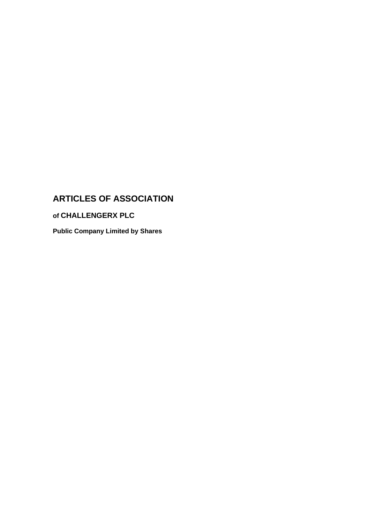# **ARTICLES OF ASSOCIATION**

**of CHALLENGERX PLC**

**Public Company Limited by Shares**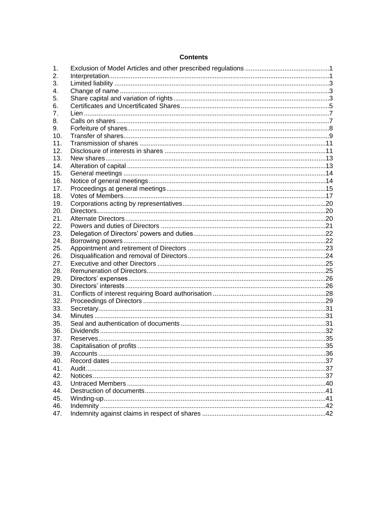#### **Contents**

| 1.         |  |
|------------|--|
| 2.         |  |
| 3.         |  |
| 4.         |  |
| 5.         |  |
| 6.         |  |
| 7.         |  |
| 8.         |  |
| 9.         |  |
| 10.        |  |
| 11.        |  |
| 12.        |  |
| 13.        |  |
| 14.        |  |
| 15.        |  |
| 16.        |  |
| 17.        |  |
| 18.        |  |
| 19.        |  |
| 20.        |  |
| 21.        |  |
| 22.        |  |
| 23.        |  |
| 24.        |  |
| 25.        |  |
| 26.        |  |
| 27.        |  |
| 28.        |  |
| 29.        |  |
| 30.        |  |
| 31.        |  |
| 32.        |  |
| 33.        |  |
| 34.        |  |
| 35.        |  |
| 36.        |  |
| 37.        |  |
| 38.        |  |
| 39.        |  |
| 40.        |  |
| 41.<br>42. |  |
|            |  |
| 43.<br>44. |  |
| 45.        |  |
| 46.        |  |
| 47.        |  |
|            |  |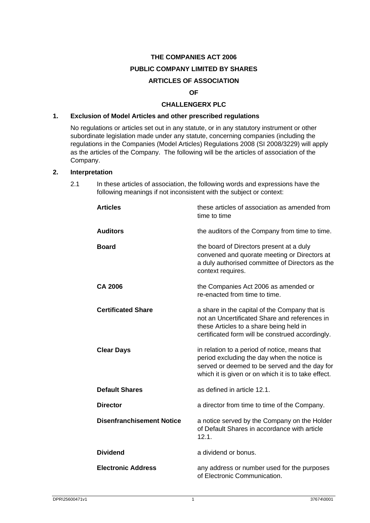## **THE COMPANIES ACT 2006 PUBLIC COMPANY LIMITED BY SHARES ARTICLES OF ASSOCIATION**

#### **OF**

#### **CHALLENGERX PLC**

#### <span id="page-4-0"></span>**1. Exclusion of Model Articles and other prescribed regulations**

No regulations or articles set out in any statute, or in any statutory instrument or other subordinate legislation made under any statute, concerning companies (including the regulations in the Companies (Model Articles) Regulations 2008 (SI 2008/3229) will apply as the articles of the Company. The following will be the articles of association of the Company.

#### <span id="page-4-1"></span>**2. Interpretation**

2.1 In these articles of association, the following words and expressions have the following meanings if not inconsistent with the subject or context:

| <b>Articles</b>                  | these articles of association as amended from<br>time to time                                                                                                                                        |
|----------------------------------|------------------------------------------------------------------------------------------------------------------------------------------------------------------------------------------------------|
| <b>Auditors</b>                  | the auditors of the Company from time to time.                                                                                                                                                       |
| <b>Board</b>                     | the board of Directors present at a duly<br>convened and quorate meeting or Directors at<br>a duly authorised committee of Directors as the<br>context requires.                                     |
| <b>CA 2006</b>                   | the Companies Act 2006 as amended or<br>re-enacted from time to time.                                                                                                                                |
| <b>Certificated Share</b>        | a share in the capital of the Company that is<br>not an Uncertificated Share and references in<br>these Articles to a share being held in<br>certificated form will be construed accordingly.        |
| <b>Clear Days</b>                | in relation to a period of notice, means that<br>period excluding the day when the notice is<br>served or deemed to be served and the day for<br>which it is given or on which it is to take effect. |
| <b>Default Shares</b>            | as defined in article 12.1.                                                                                                                                                                          |
| <b>Director</b>                  | a director from time to time of the Company.                                                                                                                                                         |
| <b>Disenfranchisement Notice</b> | a notice served by the Company on the Holder<br>of Default Shares in accordance with article<br>12.1.                                                                                                |
| <b>Dividend</b>                  | a dividend or bonus.                                                                                                                                                                                 |
| <b>Electronic Address</b>        | any address or number used for the purposes<br>of Electronic Communication.                                                                                                                          |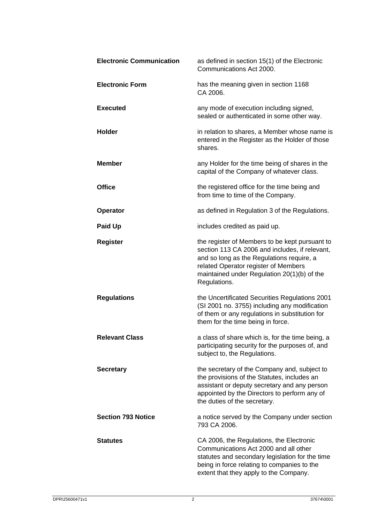| <b>Electronic Communication</b> | as defined in section 15(1) of the Electronic<br>Communications Act 2000.                                                                                                                                                                            |
|---------------------------------|------------------------------------------------------------------------------------------------------------------------------------------------------------------------------------------------------------------------------------------------------|
| <b>Electronic Form</b>          | has the meaning given in section 1168<br>CA 2006.                                                                                                                                                                                                    |
| <b>Executed</b>                 | any mode of execution including signed,<br>sealed or authenticated in some other way.                                                                                                                                                                |
| <b>Holder</b>                   | in relation to shares, a Member whose name is<br>entered in the Register as the Holder of those<br>shares.                                                                                                                                           |
| <b>Member</b>                   | any Holder for the time being of shares in the<br>capital of the Company of whatever class.                                                                                                                                                          |
| <b>Office</b>                   | the registered office for the time being and<br>from time to time of the Company.                                                                                                                                                                    |
| <b>Operator</b>                 | as defined in Regulation 3 of the Regulations.                                                                                                                                                                                                       |
| <b>Paid Up</b>                  | includes credited as paid up.                                                                                                                                                                                                                        |
| <b>Register</b>                 | the register of Members to be kept pursuant to<br>section 113 CA 2006 and includes, if relevant,<br>and so long as the Regulations require, a<br>related Operator register of Members<br>maintained under Regulation 20(1)(b) of the<br>Regulations. |
| <b>Regulations</b>              | the Uncertificated Securities Regulations 2001<br>(SI 2001 no. 3755) including any modification<br>of them or any regulations in substitution for<br>them for the time being in force.                                                               |
| <b>Relevant Class</b>           | a class of share which is, for the time being, a<br>participating security for the purposes of, and<br>subject to, the Regulations.                                                                                                                  |
| <b>Secretary</b>                | the secretary of the Company and, subject to<br>the provisions of the Statutes, includes an<br>assistant or deputy secretary and any person<br>appointed by the Directors to perform any of<br>the duties of the secretary.                          |
| <b>Section 793 Notice</b>       | a notice served by the Company under section<br>793 CA 2006.                                                                                                                                                                                         |
| <b>Statutes</b>                 | CA 2006, the Regulations, the Electronic<br>Communications Act 2000 and all other<br>statutes and secondary legislation for the time<br>being in force relating to companies to the<br>extent that they apply to the Company.                        |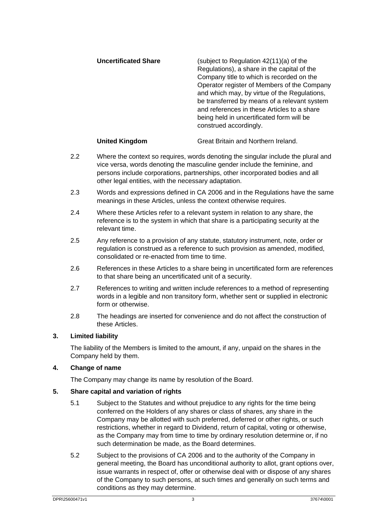| <b>Uncertificated Share</b> | (subject to Regulation $42(11)(a)$ of the<br>Regulations), a share in the capital of the<br>Company title to which is recorded on the<br>Operator register of Members of the Company<br>and which may, by virtue of the Regulations,<br>be transferred by means of a relevant system<br>and references in these Articles to a share<br>being held in uncertificated form will be<br>construed accordingly. |
|-----------------------------|------------------------------------------------------------------------------------------------------------------------------------------------------------------------------------------------------------------------------------------------------------------------------------------------------------------------------------------------------------------------------------------------------------|
|-----------------------------|------------------------------------------------------------------------------------------------------------------------------------------------------------------------------------------------------------------------------------------------------------------------------------------------------------------------------------------------------------------------------------------------------------|

#### **United Kingdom** Great Britain and Northern Ireland.

- 2.2 Where the context so requires, words denoting the singular include the plural and vice versa, words denoting the masculine gender include the feminine, and persons include corporations, partnerships, other incorporated bodies and all other legal entities, with the necessary adaptation.
- 2.3 Words and expressions defined in CA 2006 and in the Regulations have the same meanings in these Articles, unless the context otherwise requires.
- 2.4 Where these Articles refer to a relevant system in relation to any share, the reference is to the system in which that share is a participating security at the relevant time.
- 2.5 Any reference to a provision of any statute, statutory instrument, note, order or regulation is construed as a reference to such provision as amended, modified, consolidated or re-enacted from time to time.
- 2.6 References in these Articles to a share being in uncertificated form are references to that share being an uncertificated unit of a security.
- 2.7 References to writing and written include references to a method of representing words in a legible and non transitory form, whether sent or supplied in electronic form or otherwise.
- 2.8 The headings are inserted for convenience and do not affect the construction of these Articles.

#### <span id="page-6-0"></span>**3. Limited liability**

The liability of the Members is limited to the amount, if any, unpaid on the shares in the Company held by them.

#### <span id="page-6-1"></span>**4. Change of name**

The Company may change its name by resolution of the Board.

#### <span id="page-6-2"></span>**5. Share capital and variation of rights**

- 5.1 Subject to the Statutes and without prejudice to any rights for the time being conferred on the Holders of any shares or class of shares, any share in the Company may be allotted with such preferred, deferred or other rights, or such restrictions, whether in regard to Dividend, return of capital, voting or otherwise, as the Company may from time to time by ordinary resolution determine or, if no such determination be made, as the Board determines.
- 5.2 Subject to the provisions of CA 2006 and to the authority of the Company in general meeting, the Board has unconditional authority to allot, grant options over, issue warrants in respect of, offer or otherwise deal with or dispose of any shares of the Company to such persons, at such times and generally on such terms and conditions as they may determine.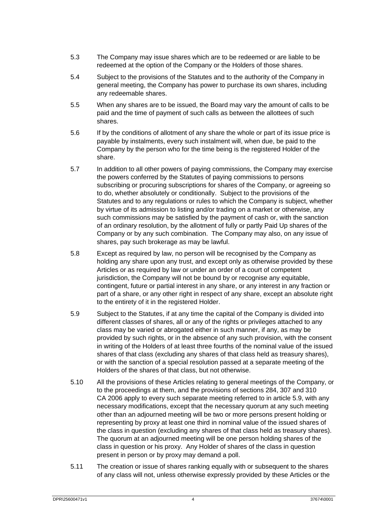- 5.3 The Company may issue shares which are to be redeemed or are liable to be redeemed at the option of the Company or the Holders of those shares.
- 5.4 Subject to the provisions of the Statutes and to the authority of the Company in general meeting, the Company has power to purchase its own shares, including any redeemable shares.
- 5.5 When any shares are to be issued, the Board may vary the amount of calls to be paid and the time of payment of such calls as between the allottees of such shares.
- 5.6 If by the conditions of allotment of any share the whole or part of its issue price is payable by instalments, every such instalment will, when due, be paid to the Company by the person who for the time being is the registered Holder of the share.
- 5.7 In addition to all other powers of paying commissions, the Company may exercise the powers conferred by the Statutes of paying commissions to persons subscribing or procuring subscriptions for shares of the Company, or agreeing so to do, whether absolutely or conditionally. Subject to the provisions of the Statutes and to any regulations or rules to which the Company is subject, whether by virtue of its admission to listing and/or trading on a market or otherwise, any such commissions may be satisfied by the payment of cash or, with the sanction of an ordinary resolution, by the allotment of fully or partly Paid Up shares of the Company or by any such combination. The Company may also, on any issue of shares, pay such brokerage as may be lawful.
- 5.8 Except as required by law, no person will be recognised by the Company as holding any share upon any trust, and except only as otherwise provided by these Articles or as required by law or under an order of a court of competent jurisdiction, the Company will not be bound by or recognise any equitable. contingent, future or partial interest in any share, or any interest in any fraction or part of a share, or any other right in respect of any share, except an absolute right to the entirety of it in the registered Holder.
- <span id="page-7-0"></span>5.9 Subject to the Statutes, if at any time the capital of the Company is divided into different classes of shares, all or any of the rights or privileges attached to any class may be varied or abrogated either in such manner, if any, as may be provided by such rights, or in the absence of any such provision, with the consent in writing of the Holders of at least three fourths of the nominal value of the issued shares of that class (excluding any shares of that class held as treasury shares), or with the sanction of a special resolution passed at a separate meeting of the Holders of the shares of that class, but not otherwise.
- <span id="page-7-1"></span>5.10 All the provisions of these Articles relating to general meetings of the Company, or to the proceedings at them, and the provisions of sections 284, 307 and 310 CA 2006 apply to every such separate meeting referred to in article [5.9,](#page-7-0) with any necessary modifications, except that the necessary quorum at any such meeting other than an adjourned meeting will be two or more persons present holding or representing by proxy at least one third in nominal value of the issued shares of the class in question (excluding any shares of that class held as treasury shares). The quorum at an adjourned meeting will be one person holding shares of the class in question or his proxy. Any Holder of shares of the class in question present in person or by proxy may demand a poll.
- 5.11 The creation or issue of shares ranking equally with or subsequent to the shares of any class will not, unless otherwise expressly provided by these Articles or the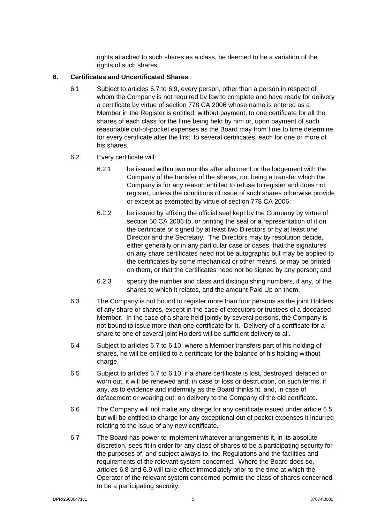rights attached to such shares as a class, be deemed to be a variation of the rights of such shares.

#### <span id="page-8-4"></span><span id="page-8-3"></span><span id="page-8-0"></span>**6. Certificates and Uncertificated Shares**

6.1 Subject to article[s 6.7](#page-8-1) to [6.9,](#page-9-0) every person, other than a person in respect of whom the Company is not required by law to complete and have ready for delivery a certificate by virtue of section 778 CA 2006 whose name is entered as a Member in the Register is entitled, without payment, to one certificate for all the shares of each class for the time being held by him or, upon payment of such reasonable out-of-pocket expenses as the Board may from time to time determine for every certificate after the first, to several certificates, each for one or more of his shares.

#### 6.2 Every certificate will:

- 6.2.1 be issued within two months after allotment or the lodgement with the Company of the transfer of the shares, not being a transfer which the Company is for any reason entitled to refuse to register and does not register, unless the conditions of issue of such shares otherwise provide or except as exempted by virtue of section 778 CA 2006;
- 6.2.2 be issued by affixing the official seal kept by the Company by virtue of section 50 CA 2006 to, or printing the seal or a representation of it on the certificate or signed by at least two Directors or by at least one Director and the Secretary. The Directors may by resolution decide, either generally or in any particular case or cases, that the signatures on any share certificates need not be autographic but may be applied to the certificates by some mechanical or other means, or may be printed on them, or that the certificates need not be signed by any person; and
- 6.2.3 specify the number and class and distinguishing numbers, if any, of the shares to which it relates, and the amount Paid Up on them.
- 6.3 The Company is not bound to register more than four persons as the joint Holders of any share or shares, except in the case of executors or trustees of a deceased Member. In the case of a share held jointly by several persons, the Company is not bound to issue more than one certificate for it. Delivery of a certificate for a share to one of several joint Holders will be sufficient delivery to all.
- 6.4 Subject to article[s 6.7](#page-8-1) to [6.10,](#page-9-1) where a Member transfers part of his holding of shares, he will be entitled to a certificate for the balance of his holding without charge.
- <span id="page-8-2"></span>6.5 Subject to article[s 6.7](#page-8-1) to [6.10,](#page-9-1) if a share certificate is lost, destroyed, defaced or worn out, it will be renewed and, in case of loss or destruction, on such terms, if any, as to evidence and indemnity as the Board thinks fit, and, in case of defacement or wearing out, on delivery to the Company of the old certificate.
- 6.6 The Company will not make any charge for any certificate issued under article [6.5](#page-8-2) but will be entitled to charge for any exceptional out of pocket expenses it incurred relating to the issue of any new certificate.
- <span id="page-8-1"></span>6.7 The Board has power to implement whatever arrangements it, in its absolute discretion, sees fit in order for any class of shares to be a participating security for the purposes of, and subject always to, the Regulations and the facilities and requirements of the relevant system concerned. Where the Board does so, articles [6.8](#page-9-2) and [6.9](#page-9-0) will take effect immediately prior to the time at which the Operator of the relevant system concerned permits the class of shares concerned to be a participating security.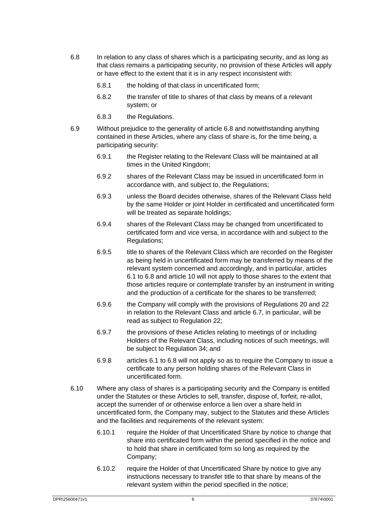- <span id="page-9-2"></span>6.8 In relation to any class of shares which is a participating security, and as long as that class remains a participating security, no provision of these Articles will apply or have effect to the extent that it is in any respect inconsistent with:
	- 6.8.1 the holding of that class in uncertificated form;
	- 6.8.2 the transfer of title to shares of that class by means of a relevant system; or
	- 6.8.3 the Regulations.
- <span id="page-9-0"></span>6.9 Without prejudice to the generality of article [6.8](#page-9-2) and notwithstanding anything contained in these Articles, where any class of share is, for the time being, a participating security:
	- 6.9.1 the Register relating to the Relevant Class will be maintained at all times in the United Kingdom;
	- 6.9.2 shares of the Relevant Class may be issued in uncertificated form in accordance with, and subject to, the Regulations;
	- 6.9.3 unless the Board decides otherwise, shares of the Relevant Class held by the same Holder or joint Holder in certificated and uncertificated form will be treated as separate holdings:
	- 6.9.4 shares of the Relevant Class may be changed from uncertificated to certificated form and vice versa, in accordance with and subject to the Regulations;
	- 6.9.5 title to shares of the Relevant Class which are recorded on the Register as being held in uncertificated form may be transferred by means of the relevant system concerned and accordingly, and in particular, articles [6.1](#page-8-3) to [6.8](#page-9-2) and article [10](#page-12-1) will not apply to those shares to the extent that those articles require or contemplate transfer by an instrument in writing and the production of a certificate for the shares to be transferred;
	- 6.9.6 the Company will comply with the provisions of Regulations 20 and 22 in relation to the Relevant Class and article [6.7,](#page-8-1) in particular, will be read as subject to Regulation 22;
	- 6.9.7 the provisions of these Articles relating to meetings of or including Holders of the Relevant Class, including notices of such meetings, will be subject to Regulation 34; and
	- 6.9.8 articles [6.1](#page-8-3) to [6.8](#page-9-2) will not apply so as to require the Company to issue a certificate to any person holding shares of the Relevant Class in uncertificated form.
- <span id="page-9-1"></span>6.10 Where any class of shares is a participating security and the Company is entitled under the Statutes or these Articles to sell, transfer, dispose of, forfeit, re-allot, accept the surrender of or otherwise enforce a lien over a share held in uncertificated form, the Company may, subject to the Statutes and these Articles and the facilities and requirements of the relevant system:
	- 6.10.1 require the Holder of that Uncertificated Share by notice to change that share into certificated form within the period specified in the notice and to hold that share in certificated form so long as required by the Company;
	- 6.10.2 require the Holder of that Uncertificated Share by notice to give any instructions necessary to transfer title to that share by means of the relevant system within the period specified in the notice;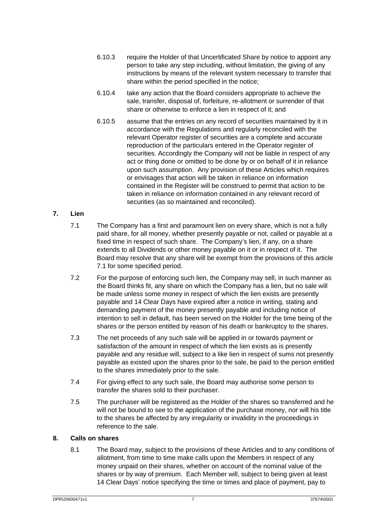- <span id="page-10-3"></span>6.10.3 require the Holder of that Uncertificated Share by notice to appoint any person to take any step including, without limitation, the giving of any instructions by means of the relevant system necessary to transfer that share within the period specified in the notice;
- 6.10.4 take any action that the Board considers appropriate to achieve the sale, transfer, disposal of, forfeiture, re-allotment or surrender of that share or otherwise to enforce a lien in respect of it; and
- 6.10.5 assume that the entries on any record of securities maintained by it in accordance with the Regulations and regularly reconciled with the relevant Operator register of securities are a complete and accurate reproduction of the particulars entered in the Operator register of securities. Accordingly the Company will not be liable in respect of any act or thing done or omitted to be done by or on behalf of it in reliance upon such assumption. Any provision of these Articles which requires or envisages that action will be taken in reliance on information contained in the Register will be construed to permit that action to be taken in reliance on information contained in any relevant record of securities (as so maintained and reconciled).

#### <span id="page-10-2"></span><span id="page-10-0"></span>**7. Lien**

- 7.1 The Company has a first and paramount lien on every share, which is not a fully paid share, for all money, whether presently payable or not, called or payable at a fixed time in respect of such share. The Company's lien, if any, on a share extends to all Dividends or other money payable on it or in respect of it. The Board may resolve that any share will be exempt from the provisions of this article [7.1](#page-10-2) for some specified period.
- 7.2 For the purpose of enforcing such lien, the Company may sell, in such manner as the Board thinks fit, any share on which the Company has a lien, but no sale will be made unless some money in respect of which the lien exists are presently payable and 14 Clear Days have expired after a notice in writing, stating and demanding payment of the money presently payable and including notice of intention to sell in default, has been served on the Holder for the time being of the shares or the person entitled by reason of his death or bankruptcy to the shares.
- 7.3 The net proceeds of any such sale will be applied in or towards payment or satisfaction of the amount in respect of which the lien exists as is presently payable and any residue will, subject to a like lien in respect of sums not presently payable as existed upon the shares prior to the sale, be paid to the person entitled to the shares immediately prior to the sale.
- 7.4 For giving effect to any such sale, the Board may authorise some person to transfer the shares sold to their purchaser.
- 7.5 The purchaser will be registered as the Holder of the shares so transferred and he will not be bound to see to the application of the purchase money, nor will his title to the shares be affected by any irregularity or invalidity in the proceedings in reference to the sale.

#### <span id="page-10-1"></span>**8. Calls on shares**

8.1 The Board may, subject to the provisions of these Articles and to any conditions of allotment, from time to time make calls upon the Members in respect of any money unpaid on their shares, whether on account of the nominal value of the shares or by way of premium. Each Member will, subject to being given at least 14 Clear Days' notice specifying the time or times and place of payment, pay to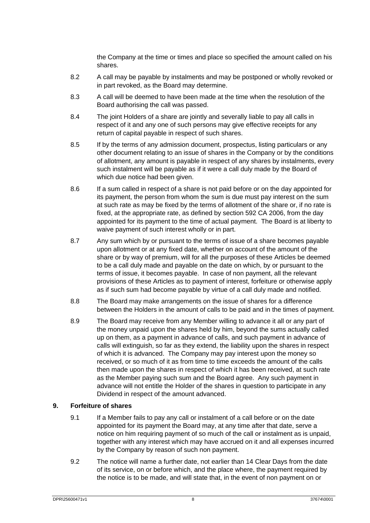the Company at the time or times and place so specified the amount called on his shares.

- 8.2 A call may be payable by instalments and may be postponed or wholly revoked or in part revoked, as the Board may determine.
- 8.3 A call will be deemed to have been made at the time when the resolution of the Board authorising the call was passed.
- 8.4 The joint Holders of a share are jointly and severally liable to pay all calls in respect of it and any one of such persons may give effective receipts for any return of capital payable in respect of such shares.
- 8.5 If by the terms of any admission document, prospectus, listing particulars or any other document relating to an issue of shares in the Company or by the conditions of allotment, any amount is payable in respect of any shares by instalments, every such instalment will be payable as if it were a call duly made by the Board of which due notice had been given.
- <span id="page-11-1"></span>8.6 If a sum called in respect of a share is not paid before or on the day appointed for its payment, the person from whom the sum is due must pay interest on the sum at such rate as may be fixed by the terms of allotment of the share or, if no rate is fixed, at the appropriate rate, as defined by section 592 CA 2006, from the day appointed for its payment to the time of actual payment. The Board is at liberty to waive payment of such interest wholly or in part.
- 8.7 Any sum which by or pursuant to the terms of issue of a share becomes payable upon allotment or at any fixed date, whether on account of the amount of the share or by way of premium, will for all the purposes of these Articles be deemed to be a call duly made and payable on the date on which, by or pursuant to the terms of issue, it becomes payable. In case of non payment, all the relevant provisions of these Articles as to payment of interest, forfeiture or otherwise apply as if such sum had become payable by virtue of a call duly made and notified.
- 8.8 The Board may make arrangements on the issue of shares for a difference between the Holders in the amount of calls to be paid and in the times of payment.
- 8.9 The Board may receive from any Member willing to advance it all or any part of the money unpaid upon the shares held by him, beyond the sums actually called up on them, as a payment in advance of calls, and such payment in advance of calls will extinguish, so far as they extend, the liability upon the shares in respect of which it is advanced. The Company may pay interest upon the money so received, or so much of it as from time to time exceeds the amount of the calls then made upon the shares in respect of which it has been received, at such rate as the Member paying such sum and the Board agree. Any such payment in advance will not entitle the Holder of the shares in question to participate in any Dividend in respect of the amount advanced.

#### <span id="page-11-0"></span>**9. Forfeiture of shares**

- 9.1 If a Member fails to pay any call or instalment of a call before or on the date appointed for its payment the Board may, at any time after that date, serve a notice on him requiring payment of so much of the call or instalment as is unpaid, together with any interest which may have accrued on it and all expenses incurred by the Company by reason of such non payment.
- 9.2 The notice will name a further date, not earlier than 14 Clear Days from the date of its service, on or before which, and the place where, the payment required by the notice is to be made, and will state that, in the event of non payment on or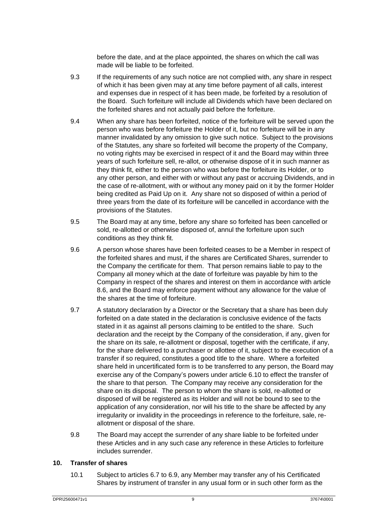before the date, and at the place appointed, the shares on which the call was made will be liable to be forfeited.

- 9.3 If the requirements of any such notice are not complied with, any share in respect of which it has been given may at any time before payment of all calls, interest and expenses due in respect of it has been made, be forfeited by a resolution of the Board. Such forfeiture will include all Dividends which have been declared on the forfeited shares and not actually paid before the forfeiture.
- 9.4 When any share has been forfeited, notice of the forfeiture will be served upon the person who was before forfeiture the Holder of it, but no forfeiture will be in any manner invalidated by any omission to give such notice. Subject to the provisions of the Statutes, any share so forfeited will become the property of the Company, no voting rights may be exercised in respect of it and the Board may within three years of such forfeiture sell, re-allot, or otherwise dispose of it in such manner as they think fit, either to the person who was before the forfeiture its Holder, or to any other person, and either with or without any past or accruing Dividends, and in the case of re-allotment, with or without any money paid on it by the former Holder being credited as Paid Up on it. Any share not so disposed of within a period of three years from the date of its forfeiture will be cancelled in accordance with the provisions of the Statutes.
- 9.5 The Board may at any time, before any share so forfeited has been cancelled or sold, re-allotted or otherwise disposed of, annul the forfeiture upon such conditions as they think fit.
- 9.6 A person whose shares have been forfeited ceases to be a Member in respect of the forfeited shares and must, if the shares are Certificated Shares, surrender to the Company the certificate for them. That person remains liable to pay to the Company all money which at the date of forfeiture was payable by him to the Company in respect of the shares and interest on them in accordance with article [8.6,](#page-11-1) and the Board may enforce payment without any allowance for the value of the shares at the time of forfeiture.
- 9.7 A statutory declaration by a Director or the Secretary that a share has been duly forfeited on a date stated in the declaration is conclusive evidence of the facts stated in it as against all persons claiming to be entitled to the share. Such declaration and the receipt by the Company of the consideration, if any, given for the share on its sale, re-allotment or disposal, together with the certificate, if any, for the share delivered to a purchaser or allottee of it, subject to the execution of a transfer if so required, constitutes a good title to the share. Where a forfeited share held in uncertificated form is to be transferred to any person, the Board may exercise any of the Company's powers under article [6.10](#page-9-1) to effect the transfer of the share to that person. The Company may receive any consideration for the share on its disposal. The person to whom the share is sold, re-allotted or disposed of will be registered as its Holder and will not be bound to see to the application of any consideration, nor will his title to the share be affected by any irregularity or invalidity in the proceedings in reference to the forfeiture, sale, reallotment or disposal of the share.
- 9.8 The Board may accept the surrender of any share liable to be forfeited under these Articles and in any such case any reference in these Articles to forfeiture includes surrender.

#### <span id="page-12-1"></span><span id="page-12-0"></span>**10. Transfer of shares**

10.1 Subject to article[s 6.7](#page-8-1) to [6.9,](#page-9-0) any Member may transfer any of his Certificated Shares by instrument of transfer in any usual form or in such other form as the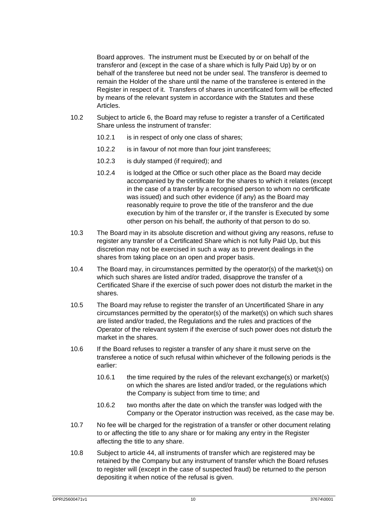Board approves. The instrument must be Executed by or on behalf of the transferor and (except in the case of a share which is fully Paid Up) by or on behalf of the transferee but need not be under seal. The transferor is deemed to remain the Holder of the share until the name of the transferee is entered in the Register in respect of it. Transfers of shares in uncertificated form will be effected by means of the relevant system in accordance with the Statutes and these Articles.

- 10.2 Subject to article [6,](#page-8-4) the Board may refuse to register a transfer of a Certificated Share unless the instrument of transfer:
	- 10.2.1 is in respect of only one class of shares;
	- 10.2.2 is in favour of not more than four joint transferees;
	- 10.2.3 is duly stamped (if required); and
	- 10.2.4 is lodged at the Office or such other place as the Board may decide accompanied by the certificate for the shares to which it relates (except in the case of a transfer by a recognised person to whom no certificate was issued) and such other evidence (if any) as the Board may reasonably require to prove the title of the transferor and the due execution by him of the transfer or, if the transfer is Executed by some other person on his behalf, the authority of that person to do so.
- 10.3 The Board may in its absolute discretion and without giving any reasons, refuse to register any transfer of a Certificated Share which is not fully Paid Up, but this discretion may not be exercised in such a way as to prevent dealings in the shares from taking place on an open and proper basis.
- 10.4 The Board may, in circumstances permitted by the operator(s) of the market(s) on which such shares are listed and/or traded, disapprove the transfer of a Certificated Share if the exercise of such power does not disturb the market in the shares.
- 10.5 The Board may refuse to register the transfer of an Uncertificated Share in any circumstances permitted by the operator(s) of the market(s) on which such shares are listed and/or traded, the Regulations and the rules and practices of the Operator of the relevant system if the exercise of such power does not disturb the market in the shares.
- 10.6 If the Board refuses to register a transfer of any share it must serve on the transferee a notice of such refusal within whichever of the following periods is the earlier:
	- 10.6.1 the time required by the rules of the relevant exchange(s) or market(s) on which the shares are listed and/or traded, or the regulations which the Company is subject from time to time; and
	- 10.6.2 two months after the date on which the transfer was lodged with the Company or the Operator instruction was received, as the case may be.
- 10.7 No fee will be charged for the registration of a transfer or other document relating to or affecting the title to any share or for making any entry in the Register affecting the title to any share.
- 10.8 Subject to article [44,](#page-44-2) all instruments of transfer which are registered may be retained by the Company but any instrument of transfer which the Board refuses to register will (except in the case of suspected fraud) be returned to the person depositing it when notice of the refusal is given.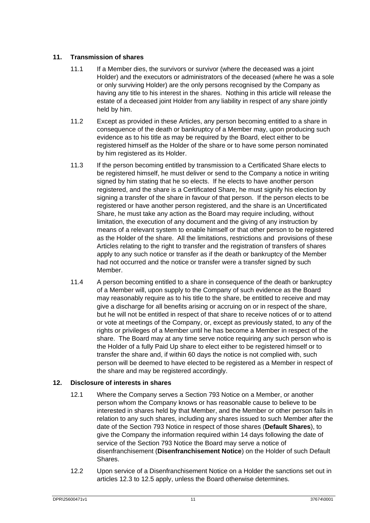#### <span id="page-14-0"></span>**11. Transmission of shares**

- 11.1 If a Member dies, the survivors or survivor (where the deceased was a joint Holder) and the executors or administrators of the deceased (where he was a sole or only surviving Holder) are the only persons recognised by the Company as having any title to his interest in the shares. Nothing in this article will release the estate of a deceased joint Holder from any liability in respect of any share jointly held by him.
- 11.2 Except as provided in these Articles, any person becoming entitled to a share in consequence of the death or bankruptcy of a Member may, upon producing such evidence as to his title as may be required by the Board, elect either to be registered himself as the Holder of the share or to have some person nominated by him registered as its Holder.
- 11.3 If the person becoming entitled by transmission to a Certificated Share elects to be registered himself, he must deliver or send to the Company a notice in writing signed by him stating that he so elects. If he elects to have another person registered, and the share is a Certificated Share, he must signify his election by signing a transfer of the share in favour of that person. If the person elects to be registered or have another person registered, and the share is an Uncertificated Share, he must take any action as the Board may require including, without limitation, the execution of any document and the giving of any instruction by means of a relevant system to enable himself or that other person to be registered as the Holder of the share. All the limitations, restrictions and provisions of these Articles relating to the right to transfer and the registration of transfers of shares apply to any such notice or transfer as if the death or bankruptcy of the Member had not occurred and the notice or transfer were a transfer signed by such Member.
- 11.4 A person becoming entitled to a share in consequence of the death or bankruptcy of a Member will, upon supply to the Company of such evidence as the Board may reasonably require as to his title to the share, be entitled to receive and may give a discharge for all benefits arising or accruing on or in respect of the share, but he will not be entitled in respect of that share to receive notices of or to attend or vote at meetings of the Company, or, except as previously stated, to any of the rights or privileges of a Member until he has become a Member in respect of the share. The Board may at any time serve notice requiring any such person who is the Holder of a fully Paid Up share to elect either to be registered himself or to transfer the share and, if within 60 days the notice is not complied with, such person will be deemed to have elected to be registered as a Member in respect of the share and may be registered accordingly.

#### <span id="page-14-2"></span><span id="page-14-1"></span>**12. Disclosure of interests in shares**

- 12.1 Where the Company serves a Section 793 Notice on a Member, or another person whom the Company knows or has reasonable cause to believe to be interested in shares held by that Member, and the Member or other person fails in relation to any such shares, including any shares issued to such Member after the date of the Section 793 Notice in respect of those shares (**Default Shares**), to give the Company the information required within 14 days following the date of service of the Section 793 Notice the Board may serve a notice of disenfranchisement (**Disenfranchisement Notice**) on the Holder of such Default Shares.
- 12.2 Upon service of a Disenfranchisement Notice on a Holder the sanctions set out in articles [12.3](#page-15-0) to [12.5](#page-15-1) apply, unless the Board otherwise determines.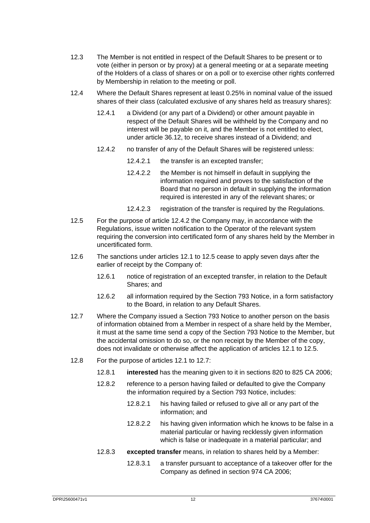- <span id="page-15-0"></span>12.3 The Member is not entitled in respect of the Default Shares to be present or to vote (either in person or by proxy) at a general meeting or at a separate meeting of the Holders of a class of shares or on a poll or to exercise other rights conferred by Membership in relation to the meeting or poll.
- <span id="page-15-2"></span>12.4 Where the Default Shares represent at least 0.25% in nominal value of the issued shares of their class (calculated exclusive of any shares held as treasury shares):
	- 12.4.1 a Dividend (or any part of a Dividend) or other amount payable in respect of the Default Shares will be withheld by the Company and no interest will be payable on it, and the Member is not entitled to elect, under article [36.12,](#page-37-0) to receive shares instead of a Dividend; and
	- 12.4.2 no transfer of any of the Default Shares will be registered unless:
		- 12.4.2.1 the transfer is an excepted transfer;
		- 12.4.2.2 the Member is not himself in default in supplying the information required and proves to the satisfaction of the Board that no person in default in supplying the information required is interested in any of the relevant shares; or
		- 12.4.2.3 registration of the transfer is required by the Regulations.
- <span id="page-15-1"></span>12.5 For the purpose of article [12.4.2](#page-15-2) the Company may, in accordance with the Regulations, issue written notification to the Operator of the relevant system requiring the conversion into certificated form of any shares held by the Member in uncertificated form.
- 12.6 The sanctions under articles [12.1](#page-14-2) to [12.5](#page-15-1) cease to apply seven days after the earlier of receipt by the Company of:
	- 12.6.1 notice of registration of an excepted transfer, in relation to the Default Shares; and
	- 12.6.2 all information required by the Section 793 Notice, in a form satisfactory to the Board, in relation to any Default Shares.
- <span id="page-15-3"></span>12.7 Where the Company issued a Section 793 Notice to another person on the basis of information obtained from a Member in respect of a share held by the Member, it must at the same time send a copy of the Section 793 Notice to the Member, but the accidental omission to do so, or the non receipt by the Member of the copy, does not invalidate or otherwise affect the application of articles [12.1](#page-14-2) t[o 12.5.](#page-15-1)
- <span id="page-15-4"></span>12.8 For the purpose of articles [12.1](#page-14-2) to [12.7:](#page-15-3)
	- 12.8.1 **interested** has the meaning given to it in sections 820 to 825 CA 2006;
	- 12.8.2 reference to a person having failed or defaulted to give the Company the information required by a Section 793 Notice, includes:
		- 12.8.2.1 his having failed or refused to give all or any part of the information; and
		- 12.8.2.2 his having given information which he knows to be false in a material particular or having recklessly given information which is false or inadequate in a material particular; and
	- 12.8.3 **excepted transfer** means, in relation to shares held by a Member:
		- 12.8.3.1 a transfer pursuant to acceptance of a takeover offer for the Company as defined in section 974 CA 2006;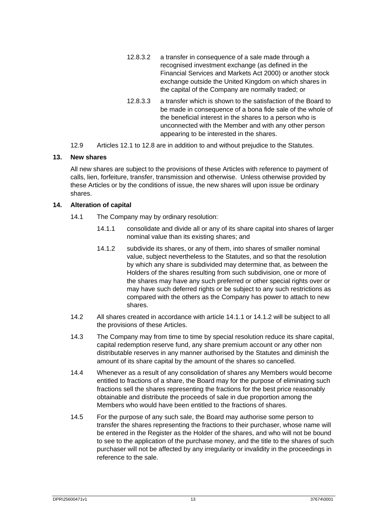- 12.8.3.2 a transfer in consequence of a sale made through a recognised investment exchange (as defined in the Financial Services and Markets Act 2000) or another stock exchange outside the United Kingdom on which shares in the capital of the Company are normally traded; or
- 12.8.3.3 a transfer which is shown to the satisfaction of the Board to be made in consequence of a bona fide sale of the whole of the beneficial interest in the shares to a person who is unconnected with the Member and with any other person appearing to be interested in the shares.
- 12.9 Articles [12.1](#page-14-2) to [12.8](#page-15-4) are in addition to and without prejudice to the Statutes.

#### <span id="page-16-0"></span>**13. New shares**

All new shares are subject to the provisions of these Articles with reference to payment of calls, lien, forfeiture, transfer, transmission and otherwise. Unless otherwise provided by these Articles or by the conditions of issue, the new shares will upon issue be ordinary shares.

#### <span id="page-16-1"></span>**14. Alteration of capital**

- <span id="page-16-3"></span><span id="page-16-2"></span>14.1 The Company may by ordinary resolution:
	- 14.1.1 consolidate and divide all or any of its share capital into shares of larger nominal value than its existing shares; and
	- 14.1.2 subdivide its shares, or any of them, into shares of smaller nominal value, subject nevertheless to the Statutes, and so that the resolution by which any share is subdivided may determine that, as between the Holders of the shares resulting from such subdivision, one or more of the shares may have any such preferred or other special rights over or may have such deferred rights or be subject to any such restrictions as compared with the others as the Company has power to attach to new shares.
- 14.2 All shares created in accordance with article [14.1.1](#page-16-2) or [14.1.2](#page-16-3) will be subject to all the provisions of these Articles.
- 14.3 The Company may from time to time by special resolution reduce its share capital, capital redemption reserve fund, any share premium account or any other non distributable reserves in any manner authorised by the Statutes and diminish the amount of its share capital by the amount of the shares so cancelled.
- 14.4 Whenever as a result of any consolidation of shares any Members would become entitled to fractions of a share, the Board may for the purpose of eliminating such fractions sell the shares representing the fractions for the best price reasonably obtainable and distribute the proceeds of sale in due proportion among the Members who would have been entitled to the fractions of shares.
- 14.5 For the purpose of any such sale, the Board may authorise some person to transfer the shares representing the fractions to their purchaser, whose name will be entered in the Register as the Holder of the shares, and who will not be bound to see to the application of the purchase money, and the title to the shares of such purchaser will not be affected by any irregularity or invalidity in the proceedings in reference to the sale.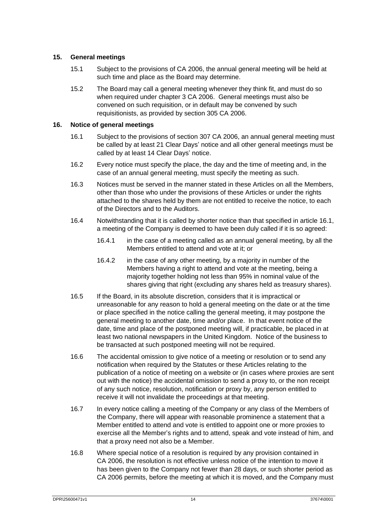#### <span id="page-17-0"></span>**15. General meetings**

- 15.1 Subject to the provisions of CA 2006, the annual general meeting will be held at such time and place as the Board may determine.
- 15.2 The Board may call a general meeting whenever they think fit, and must do so when required under chapter 3 CA 2006. General meetings must also be convened on such requisition, or in default may be convened by such requisitionists, as provided by section 305 CA 2006.

#### <span id="page-17-2"></span><span id="page-17-1"></span>**16. Notice of general meetings**

- 16.1 Subject to the provisions of section 307 CA 2006, an annual general meeting must be called by at least 21 Clear Days' notice and all other general meetings must be called by at least 14 Clear Days' notice.
- 16.2 Every notice must specify the place, the day and the time of meeting and, in the case of an annual general meeting, must specify the meeting as such.
- 16.3 Notices must be served in the manner stated in these Articles on all the Members, other than those who under the provisions of these Articles or under the rights attached to the shares held by them are not entitled to receive the notice, to each of the Directors and to the Auditors.
- 16.4 Notwithstanding that it is called by shorter notice than that specified in articl[e 16.1,](#page-17-2) a meeting of the Company is deemed to have been duly called if it is so agreed:
	- 16.4.1 in the case of a meeting called as an annual general meeting, by all the Members entitled to attend and vote at it; or
	- 16.4.2 in the case of any other meeting, by a majority in number of the Members having a right to attend and vote at the meeting, being a majority together holding not less than 95% in nominal value of the shares giving that right (excluding any shares held as treasury shares).
- 16.5 If the Board, in its absolute discretion, considers that it is impractical or unreasonable for any reason to hold a general meeting on the date or at the time or place specified in the notice calling the general meeting, it may postpone the general meeting to another date, time and/or place. In that event notice of the date, time and place of the postponed meeting will, if practicable, be placed in at least two national newspapers in the United Kingdom. Notice of the business to be transacted at such postponed meeting will not be required.
- 16.6 The accidental omission to give notice of a meeting or resolution or to send any notification when required by the Statutes or these Articles relating to the publication of a notice of meeting on a website or (in cases where proxies are sent out with the notice) the accidental omission to send a proxy to, or the non receipt of any such notice, resolution, notification or proxy by, any person entitled to receive it will not invalidate the proceedings at that meeting.
- 16.7 In every notice calling a meeting of the Company or any class of the Members of the Company, there will appear with reasonable prominence a statement that a Member entitled to attend and vote is entitled to appoint one or more proxies to exercise all the Member's rights and to attend, speak and vote instead of him, and that a proxy need not also be a Member.
- 16.8 Where special notice of a resolution is required by any provision contained in CA 2006, the resolution is not effective unless notice of the intention to move it has been given to the Company not fewer than 28 days, or such shorter period as CA 2006 permits, before the meeting at which it is moved, and the Company must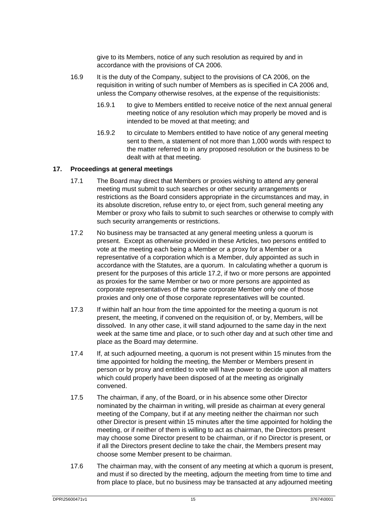give to its Members, notice of any such resolution as required by and in accordance with the provisions of CA 2006.

- 16.9 It is the duty of the Company, subject to the provisions of CA 2006, on the requisition in writing of such number of Members as is specified in CA 2006 and, unless the Company otherwise resolves, at the expense of the requisitionists:
	- 16.9.1 to give to Members entitled to receive notice of the next annual general meeting notice of any resolution which may properly be moved and is intended to be moved at that meeting; and
	- 16.9.2 to circulate to Members entitled to have notice of any general meeting sent to them, a statement of not more than 1,000 words with respect to the matter referred to in any proposed resolution or the business to be dealt with at that meeting.

#### <span id="page-18-0"></span>**17. Proceedings at general meetings**

- 17.1 The Board may direct that Members or proxies wishing to attend any general meeting must submit to such searches or other security arrangements or restrictions as the Board considers appropriate in the circumstances and may, in its absolute discretion, refuse entry to, or eject from, such general meeting any Member or proxy who fails to submit to such searches or otherwise to comply with such security arrangements or restrictions.
- <span id="page-18-1"></span>17.2 No business may be transacted at any general meeting unless a quorum is present. Except as otherwise provided in these Articles, two persons entitled to vote at the meeting each being a Member or a proxy for a Member or a representative of a corporation which is a Member, duly appointed as such in accordance with the Statutes, are a quorum. In calculating whether a quorum is present for the purposes of this article [17.2,](#page-18-1) if two or more persons are appointed as proxies for the same Member or two or more persons are appointed as corporate representatives of the same corporate Member only one of those proxies and only one of those corporate representatives will be counted.
- 17.3 If within half an hour from the time appointed for the meeting a quorum is not present, the meeting, if convened on the requisition of, or by, Members, will be dissolved. In any other case, it will stand adjourned to the same day in the next week at the same time and place, or to such other day and at such other time and place as the Board may determine.
- 17.4 If, at such adjourned meeting, a quorum is not present within 15 minutes from the time appointed for holding the meeting, the Member or Members present in person or by proxy and entitled to vote will have power to decide upon all matters which could properly have been disposed of at the meeting as originally convened.
- 17.5 The chairman, if any, of the Board, or in his absence some other Director nominated by the chairman in writing, will preside as chairman at every general meeting of the Company, but if at any meeting neither the chairman nor such other Director is present within 15 minutes after the time appointed for holding the meeting, or if neither of them is willing to act as chairman, the Directors present may choose some Director present to be chairman, or if no Director is present, or if all the Directors present decline to take the chair, the Members present may choose some Member present to be chairman.
- 17.6 The chairman may, with the consent of any meeting at which a quorum is present, and must if so directed by the meeting, adjourn the meeting from time to time and from place to place, but no business may be transacted at any adjourned meeting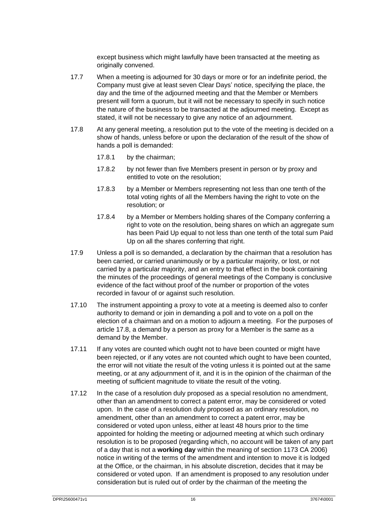except business which might lawfully have been transacted at the meeting as originally convened.

- 17.7 When a meeting is adjourned for 30 days or more or for an indefinite period, the Company must give at least seven Clear Days' notice, specifying the place, the day and the time of the adjourned meeting and that the Member or Members present will form a quorum, but it will not be necessary to specify in such notice the nature of the business to be transacted at the adjourned meeting. Except as stated, it will not be necessary to give any notice of an adjournment.
- <span id="page-19-0"></span>17.8 At any general meeting, a resolution put to the vote of the meeting is decided on a show of hands, unless before or upon the declaration of the result of the show of hands a poll is demanded:
	- 17.8.1 by the chairman;
	- 17.8.2 by not fewer than five Members present in person or by proxy and entitled to vote on the resolution;
	- 17.8.3 by a Member or Members representing not less than one tenth of the total voting rights of all the Members having the right to vote on the resolution; or
	- 17.8.4 by a Member or Members holding shares of the Company conferring a right to vote on the resolution, being shares on which an aggregate sum has been Paid Up equal to not less than one tenth of the total sum Paid Up on all the shares conferring that right.
- 17.9 Unless a poll is so demanded, a declaration by the chairman that a resolution has been carried, or carried unanimously or by a particular majority, or lost, or not carried by a particular majority, and an entry to that effect in the book containing the minutes of the proceedings of general meetings of the Company is conclusive evidence of the fact without proof of the number or proportion of the votes recorded in favour of or against such resolution.
- 17.10 The instrument appointing a proxy to vote at a meeting is deemed also to confer authority to demand or join in demanding a poll and to vote on a poll on the election of a chairman and on a motion to adjourn a meeting. For the purposes of article [17.8,](#page-19-0) a demand by a person as proxy for a Member is the same as a demand by the Member.
- 17.11 If any votes are counted which ought not to have been counted or might have been rejected, or if any votes are not counted which ought to have been counted, the error will not vitiate the result of the voting unless it is pointed out at the same meeting, or at any adjournment of it, and it is in the opinion of the chairman of the meeting of sufficient magnitude to vitiate the result of the voting.
- 17.12 In the case of a resolution duly proposed as a special resolution no amendment, other than an amendment to correct a patent error, may be considered or voted upon. In the case of a resolution duly proposed as an ordinary resolution, no amendment, other than an amendment to correct a patent error, may be considered or voted upon unless, either at least 48 hours prior to the time appointed for holding the meeting or adjourned meeting at which such ordinary resolution is to be proposed (regarding which, no account will be taken of any part of a day that is not a **working day** within the meaning of section 1173 CA 2006) notice in writing of the terms of the amendment and intention to move it is lodged at the Office, or the chairman, in his absolute discretion, decides that it may be considered or voted upon. If an amendment is proposed to any resolution under consideration but is ruled out of order by the chairman of the meeting the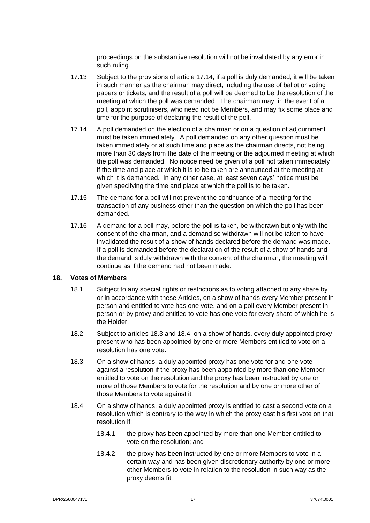proceedings on the substantive resolution will not be invalidated by any error in such ruling.

- 17.13 Subject to the provisions of article [17.14,](#page-20-1) if a poll is duly demanded, it will be taken in such manner as the chairman may direct, including the use of ballot or voting papers or tickets, and the result of a poll will be deemed to be the resolution of the meeting at which the poll was demanded. The chairman may, in the event of a poll, appoint scrutinisers, who need not be Members, and may fix some place and time for the purpose of declaring the result of the poll.
- <span id="page-20-1"></span>17.14 A poll demanded on the election of a chairman or on a question of adjournment must be taken immediately. A poll demanded on any other question must be taken immediately or at such time and place as the chairman directs, not being more than 30 days from the date of the meeting or the adjourned meeting at which the poll was demanded. No notice need be given of a poll not taken immediately if the time and place at which it is to be taken are announced at the meeting at which it is demanded. In any other case, at least seven days' notice must be given specifying the time and place at which the poll is to be taken.
- 17.15 The demand for a poll will not prevent the continuance of a meeting for the transaction of any business other than the question on which the poll has been demanded.
- 17.16 A demand for a poll may, before the poll is taken, be withdrawn but only with the consent of the chairman, and a demand so withdrawn will not be taken to have invalidated the result of a show of hands declared before the demand was made. If a poll is demanded before the declaration of the result of a show of hands and the demand is duly withdrawn with the consent of the chairman, the meeting will continue as if the demand had not been made.

#### <span id="page-20-4"></span><span id="page-20-0"></span>**18. Votes of Members**

- 18.1 Subject to any special rights or restrictions as to voting attached to any share by or in accordance with these Articles, on a show of hands every Member present in person and entitled to vote has one vote, and on a poll every Member present in person or by proxy and entitled to vote has one vote for every share of which he is the Holder.
- 18.2 Subject to article[s 18.3](#page-20-2) and [18.4,](#page-20-3) on a show of hands, every duly appointed proxy present who has been appointed by one or more Members entitled to vote on a resolution has one vote.
- <span id="page-20-2"></span>18.3 On a show of hands, a duly appointed proxy has one vote for and one vote against a resolution if the proxy has been appointed by more than one Member entitled to vote on the resolution and the proxy has been instructed by one or more of those Members to vote for the resolution and by one or more other of those Members to vote against it.
- <span id="page-20-3"></span>18.4 On a show of hands, a duly appointed proxy is entitled to cast a second vote on a resolution which is contrary to the way in which the proxy cast his first vote on that resolution if:
	- 18.4.1 the proxy has been appointed by more than one Member entitled to vote on the resolution; and
	- 18.4.2 the proxy has been instructed by one or more Members to vote in a certain way and has been given discretionary authority by one or more other Members to vote in relation to the resolution in such way as the proxy deems fit.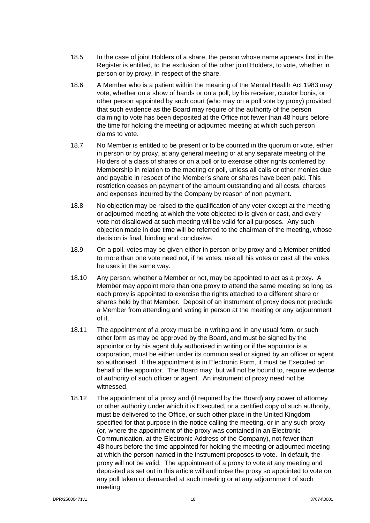- 18.5 In the case of joint Holders of a share, the person whose name appears first in the Register is entitled, to the exclusion of the other joint Holders, to vote, whether in person or by proxy, in respect of the share.
- 18.6 A Member who is a patient within the meaning of the Mental Health Act 1983 may vote, whether on a show of hands or on a poll, by his receiver, curator bonis, or other person appointed by such court (who may on a poll vote by proxy) provided that such evidence as the Board may require of the authority of the person claiming to vote has been deposited at the Office not fewer than 48 hours before the time for holding the meeting or adjourned meeting at which such person claims to vote.
- 18.7 No Member is entitled to be present or to be counted in the quorum or vote, either in person or by proxy, at any general meeting or at any separate meeting of the Holders of a class of shares or on a poll or to exercise other rights conferred by Membership in relation to the meeting or poll, unless all calls or other monies due and payable in respect of the Member's share or shares have been paid. This restriction ceases on payment of the amount outstanding and all costs, charges and expenses incurred by the Company by reason of non payment.
- 18.8 No objection may be raised to the qualification of any voter except at the meeting or adjourned meeting at which the vote objected to is given or cast, and every vote not disallowed at such meeting will be valid for all purposes. Any such objection made in due time will be referred to the chairman of the meeting, whose decision is final, binding and conclusive.
- 18.9 On a poll, votes may be given either in person or by proxy and a Member entitled to more than one vote need not, if he votes, use all his votes or cast all the votes he uses in the same way.
- 18.10 Any person, whether a Member or not, may be appointed to act as a proxy. A Member may appoint more than one proxy to attend the same meeting so long as each proxy is appointed to exercise the rights attached to a different share or shares held by that Member. Deposit of an instrument of proxy does not preclude a Member from attending and voting in person at the meeting or any adjournment of it.
- 18.11 The appointment of a proxy must be in writing and in any usual form, or such other form as may be approved by the Board, and must be signed by the appointor or by his agent duly authorised in writing or if the appointor is a corporation, must be either under its common seal or signed by an officer or agent so authorised. If the appointment is in Electronic Form, it must be Executed on behalf of the appointor. The Board may, but will not be bound to, require evidence of authority of such officer or agent. An instrument of proxy need not be witnessed.
- <span id="page-21-0"></span>18.12 The appointment of a proxy and (if required by the Board) any power of attorney or other authority under which it is Executed, or a certified copy of such authority, must be delivered to the Office, or such other place in the United Kingdom specified for that purpose in the notice calling the meeting, or in any such proxy (or, where the appointment of the proxy was contained in an Electronic Communication, at the Electronic Address of the Company), not fewer than 48 hours before the time appointed for holding the meeting or adjourned meeting at which the person named in the instrument proposes to vote. In default, the proxy will not be valid. The appointment of a proxy to vote at any meeting and deposited as set out in this article will authorise the proxy so appointed to vote on any poll taken or demanded at such meeting or at any adjournment of such meeting.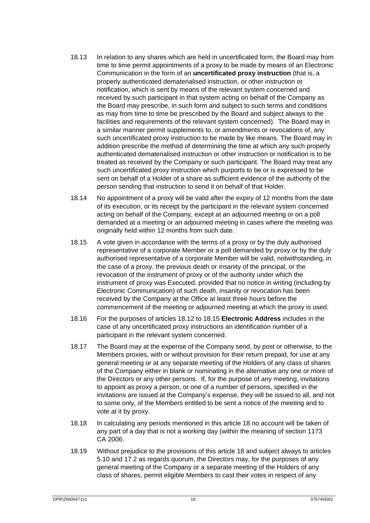- 18.13 In relation to any shares which are held in uncertificated form, the Board may from time to time permit appointments of a proxy to be made by means of an Electronic Communication in the form of an **uncertificated proxy instruction** (that is, a properly authenticated dematerialised instruction, or other instruction or notification, which is sent by means of the relevant system concerned and received by such participant in that system acting on behalf of the Company as the Board may prescribe, in such form and subject to such terms and conditions as may from time to time be prescribed by the Board and subject always to the facilities and requirements of the relevant system concerned). The Board may in a similar manner permit supplements to, or amendments or revocations of, any such uncertificated proxy instruction to be made by like means. The Board may in addition prescribe the method of determining the time at which any such properly authenticated dematerialised instruction or other instruction or notification is to be treated as received by the Company or such participant. The Board may treat any such uncertificated proxy instruction which purports to be or is expressed to be sent on behalf of a Holder of a share as sufficient evidence of the authority of the person sending that instruction to send it on behalf of that Holder.
- 18.14 No appointment of a proxy will be valid after the expiry of 12 months from the date of its execution, or its receipt by the participant in the relevant system concerned acting on behalf of the Company, except at an adjourned meeting or on a poll demanded at a meeting or an adjourned meeting in cases where the meeting was originally held within 12 months from such date.
- <span id="page-22-0"></span>18.15 A vote given in accordance with the terms of a proxy or by the duly authorised representative of a corporate Member or a poll demanded by proxy or by the duly authorised representative of a corporate Member will be valid, notwithstanding, in the case of a proxy, the previous death or insanity of the principal, or the revocation of the instrument of proxy or of the authority under which the instrument of proxy was Executed, provided that no notice in writing (including by Electronic Communication) of such death, insanity or revocation has been received by the Company at the Office at least three hours before the commencement of the meeting or adjourned meeting at which the proxy is used.
- 18.16 For the purposes of articles [18.12](#page-21-0) to [18.15](#page-22-0) **Electronic Address** includes in the case of any uncertificated proxy instructions an identification number of a participant in the relevant system concerned.
- 18.17 The Board may at the expense of the Company send, by post or otherwise, to the Members proxies, with or without provision for their return prepaid, for use at any general meeting or at any separate meeting of the Holders of any class of shares of the Company either in blank or nominating in the alternative any one or more of the Directors or any other persons. If, for the purpose of any meeting, invitations to appoint as proxy a person, or one of a number of persons, specified in the invitations are issued at the Company's expense, they will be issued to all, and not to some only, of the Members entitled to be sent a notice of the meeting and to vote at it by proxy.
- 18.18 In calculating any periods mentioned in this article [18](#page-20-4) no account will be taken of any part of a day that is not a working day (within the meaning of section 1173 CA 2006.
- 18.19 Without prejudice to the provisions of this article [18](#page-20-4) and subject always to articles [5.10](#page-7-1) an[d 17.2](#page-18-1) as regards quorum, the Directors may, for the purposes of any general meeting of the Company or a separate meeting of the Holders of any class of shares, permit eligible Members to cast their votes in respect of any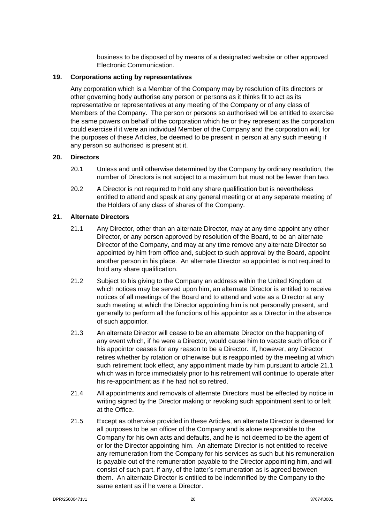business to be disposed of by means of a designated website or other approved Electronic Communication.

#### <span id="page-23-0"></span>**19. Corporations acting by representatives**

Any corporation which is a Member of the Company may by resolution of its directors or other governing body authorise any person or persons as it thinks fit to act as its representative or representatives at any meeting of the Company or of any class of Members of the Company. The person or persons so authorised will be entitled to exercise the same powers on behalf of the corporation which he or they represent as the corporation could exercise if it were an individual Member of the Company and the corporation will, for the purposes of these Articles, be deemed to be present in person at any such meeting if any person so authorised is present at it.

#### <span id="page-23-1"></span>**20. Directors**

- 20.1 Unless and until otherwise determined by the Company by ordinary resolution, the number of Directors is not subject to a maximum but must not be fewer than two.
- 20.2 A Director is not required to hold any share qualification but is nevertheless entitled to attend and speak at any general meeting or at any separate meeting of the Holders of any class of shares of the Company.

#### <span id="page-23-3"></span><span id="page-23-2"></span>**21. Alternate Directors**

- 21.1 Any Director, other than an alternate Director, may at any time appoint any other Director, or any person approved by resolution of the Board, to be an alternate Director of the Company, and may at any time remove any alternate Director so appointed by him from office and, subject to such approval by the Board, appoint another person in his place. An alternate Director so appointed is not required to hold any share qualification.
- 21.2 Subject to his giving to the Company an address within the United Kingdom at which notices may be served upon him, an alternate Director is entitled to receive notices of all meetings of the Board and to attend and vote as a Director at any such meeting at which the Director appointing him is not personally present, and generally to perform all the functions of his appointor as a Director in the absence of such appointor.
- 21.3 An alternate Director will cease to be an alternate Director on the happening of any event which, if he were a Director, would cause him to vacate such office or if his appointor ceases for any reason to be a Director. If, however, any Director retires whether by rotation or otherwise but is reappointed by the meeting at which such retirement took effect, any appointment made by him pursuant to article [21.1](#page-23-3) which was in force immediately prior to his retirement will continue to operate after his re-appointment as if he had not so retired.
- 21.4 All appointments and removals of alternate Directors must be effected by notice in writing signed by the Director making or revoking such appointment sent to or left at the Office.
- 21.5 Except as otherwise provided in these Articles, an alternate Director is deemed for all purposes to be an officer of the Company and is alone responsible to the Company for his own acts and defaults, and he is not deemed to be the agent of or for the Director appointing him. An alternate Director is not entitled to receive any remuneration from the Company for his services as such but his remuneration is payable out of the remuneration payable to the Director appointing him, and will consist of such part, if any, of the latter's remuneration as is agreed between them. An alternate Director is entitled to be indemnified by the Company to the same extent as if he were a Director.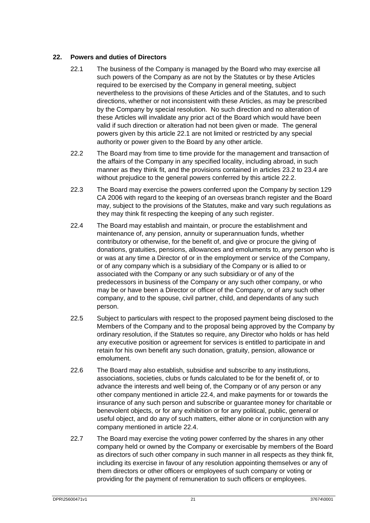#### <span id="page-24-1"></span><span id="page-24-0"></span>**22. Powers and duties of Directors**

- 22.1 The business of the Company is managed by the Board who may exercise all such powers of the Company as are not by the Statutes or by these Articles required to be exercised by the Company in general meeting, subject nevertheless to the provisions of these Articles and of the Statutes, and to such directions, whether or not inconsistent with these Articles, as may be prescribed by the Company by special resolution. No such direction and no alteration of these Articles will invalidate any prior act of the Board which would have been valid if such direction or alteration had not been given or made. The general powers given by this article [22.1](#page-24-1) are not limited or restricted by any special authority or power given to the Board by any other article.
- <span id="page-24-2"></span>22.2 The Board may from time to time provide for the management and transaction of the affairs of the Company in any specified locality, including abroad, in such manner as they think fit, and the provisions contained in articles [23.2](#page-25-2) to [23.4](#page-25-3) are without prejudice to the general powers conferred by this article [22.2.](#page-24-2)
- 22.3 The Board may exercise the powers conferred upon the Company by section 129 CA 2006 with regard to the keeping of an overseas branch register and the Board may, subject to the provisions of the Statutes, make and vary such regulations as they may think fit respecting the keeping of any such register.
- <span id="page-24-3"></span>22.4 The Board may establish and maintain, or procure the establishment and maintenance of, any pension, annuity or superannuation funds, whether contributory or otherwise, for the benefit of, and give or procure the giving of donations, gratuities, pensions, allowances and emoluments to, any person who is or was at any time a Director of or in the employment or service of the Company, or of any company which is a subsidiary of the Company or is allied to or associated with the Company or any such subsidiary or of any of the predecessors in business of the Company or any such other company, or who may be or have been a Director or officer of the Company, or of any such other company, and to the spouse, civil partner, child, and dependants of any such person.
- 22.5 Subject to particulars with respect to the proposed payment being disclosed to the Members of the Company and to the proposal being approved by the Company by ordinary resolution, if the Statutes so require, any Director who holds or has held any executive position or agreement for services is entitled to participate in and retain for his own benefit any such donation, gratuity, pension, allowance or emolument.
- 22.6 The Board may also establish, subsidise and subscribe to any institutions, associations, societies, clubs or funds calculated to be for the benefit of, or to advance the interests and well being of, the Company or of any person or any other company mentioned in article [22.4,](#page-24-3) and make payments for or towards the insurance of any such person and subscribe or guarantee money for charitable or benevolent objects, or for any exhibition or for any political, public, general or useful object, and do any of such matters, either alone or in conjunction with any company mentioned in article [22.4.](#page-24-3)
- 22.7 The Board may exercise the voting power conferred by the shares in any other company held or owned by the Company or exercisable by members of the Board as directors of such other company in such manner in all respects as they think fit, including its exercise in favour of any resolution appointing themselves or any of them directors or other officers or employees of such company or voting or providing for the payment of remuneration to such officers or employees.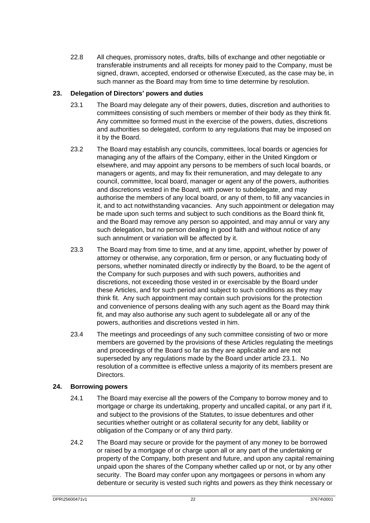22.8 All cheques, promissory notes, drafts, bills of exchange and other negotiable or transferable instruments and all receipts for money paid to the Company, must be signed, drawn, accepted, endorsed or otherwise Executed, as the case may be, in such manner as the Board may from time to time determine by resolution.

#### <span id="page-25-4"></span><span id="page-25-0"></span>**23. Delegation of Directors' powers and duties**

- 23.1 The Board may delegate any of their powers, duties, discretion and authorities to committees consisting of such members or member of their body as they think fit. Any committee so formed must in the exercise of the powers, duties, discretions and authorities so delegated, conform to any regulations that may be imposed on it by the Board.
- <span id="page-25-2"></span>23.2 The Board may establish any councils, committees, local boards or agencies for managing any of the affairs of the Company, either in the United Kingdom or elsewhere, and may appoint any persons to be members of such local boards, or managers or agents, and may fix their remuneration, and may delegate to any council, committee, local board, manager or agent any of the powers, authorities and discretions vested in the Board, with power to subdelegate, and may authorise the members of any local board, or any of them, to fill any vacancies in it, and to act notwithstanding vacancies. Any such appointment or delegation may be made upon such terms and subject to such conditions as the Board think fit, and the Board may remove any person so appointed, and may annul or vary any such delegation, but no person dealing in good faith and without notice of any such annulment or variation will be affected by it.
- 23.3 The Board may from time to time, and at any time, appoint, whether by power of attorney or otherwise, any corporation, firm or person, or any fluctuating body of persons, whether nominated directly or indirectly by the Board, to be the agent of the Company for such purposes and with such powers, authorities and discretions, not exceeding those vested in or exercisable by the Board under these Articles, and for such period and subject to such conditions as they may think fit. Any such appointment may contain such provisions for the protection and convenience of persons dealing with any such agent as the Board may think fit, and may also authorise any such agent to subdelegate all or any of the powers, authorities and discretions vested in him.
- <span id="page-25-3"></span>23.4 The meetings and proceedings of any such committee consisting of two or more members are governed by the provisions of these Articles regulating the meetings and proceedings of the Board so far as they are applicable and are not superseded by any regulations made by the Board under article [23.1.](#page-25-4) No resolution of a committee is effective unless a majority of its members present are Directors.

#### <span id="page-25-1"></span>**24. Borrowing powers**

- 24.1 The Board may exercise all the powers of the Company to borrow money and to mortgage or charge its undertaking, property and uncalled capital, or any part if it, and subject to the provisions of the Statutes, to issue debentures and other securities whether outright or as collateral security for any debt, liability or obligation of the Company or of any third party.
- 24.2 The Board may secure or provide for the payment of any money to be borrowed or raised by a mortgage of or charge upon all or any part of the undertaking or property of the Company, both present and future, and upon any capital remaining unpaid upon the shares of the Company whether called up or not, or by any other security. The Board may confer upon any mortgagees or persons in whom any debenture or security is vested such rights and powers as they think necessary or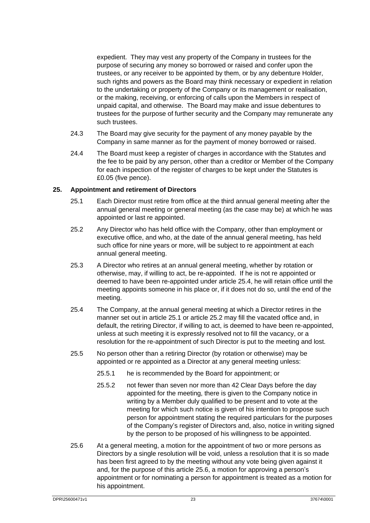expedient. They may vest any property of the Company in trustees for the purpose of securing any money so borrowed or raised and confer upon the trustees, or any receiver to be appointed by them, or by any debenture Holder, such rights and powers as the Board may think necessary or expedient in relation to the undertaking or property of the Company or its management or realisation, or the making, receiving, or enforcing of calls upon the Members in respect of unpaid capital, and otherwise. The Board may make and issue debentures to trustees for the purpose of further security and the Company may remunerate any such trustees.

- 24.3 The Board may give security for the payment of any money payable by the Company in same manner as for the payment of money borrowed or raised.
- 24.4 The Board must keep a register of charges in accordance with the Statutes and the fee to be paid by any person, other than a creditor or Member of the Company for each inspection of the register of charges to be kept under the Statutes is £0.05 (five pence).

#### <span id="page-26-5"></span><span id="page-26-2"></span><span id="page-26-0"></span>**25. Appointment and retirement of Directors**

- 25.1 Each Director must retire from office at the third annual general meeting after the annual general meeting or general meeting (as the case may be) at which he was appointed or last re appointed.
- <span id="page-26-3"></span>25.2 Any Director who has held office with the Company, other than employment or executive office, and who, at the date of the annual general meeting, has held such office for nine years or more, will be subject to re appointment at each annual general meeting.
- 25.3 A Director who retires at an annual general meeting, whether by rotation or otherwise, may, if willing to act, be re-appointed. If he is not re appointed or deemed to have been re-appointed under article [25.4,](#page-26-1) he will retain office until the meeting appoints someone in his place or, if it does not do so, until the end of the meeting.
- <span id="page-26-1"></span>25.4 The Company, at the annual general meeting at which a Director retires in the manner set out in article [25.1](#page-26-2) or article [25.2](#page-26-3) may fill the vacated office and, in default, the retiring Director, if willing to act, is deemed to have been re-appointed, unless at such meeting it is expressly resolved not to fill the vacancy, or a resolution for the re-appointment of such Director is put to the meeting and lost.
- 25.5 No person other than a retiring Director (by rotation or otherwise) may be appointed or re appointed as a Director at any general meeting unless:
	- 25.5.1 he is recommended by the Board for appointment; or
	- 25.5.2 not fewer than seven nor more than 42 Clear Days before the day appointed for the meeting, there is given to the Company notice in writing by a Member duly qualified to be present and to vote at the meeting for which such notice is given of his intention to propose such person for appointment stating the required particulars for the purposes of the Company's register of Directors and, also, notice in writing signed by the person to be proposed of his willingness to be appointed.
- <span id="page-26-4"></span>25.6 At a general meeting, a motion for the appointment of two or more persons as Directors by a single resolution will be void, unless a resolution that it is so made has been first agreed to by the meeting without any vote being given against it and, for the purpose of this article [25.6,](#page-26-4) a motion for approving a person's appointment or for nominating a person for appointment is treated as a motion for his appointment.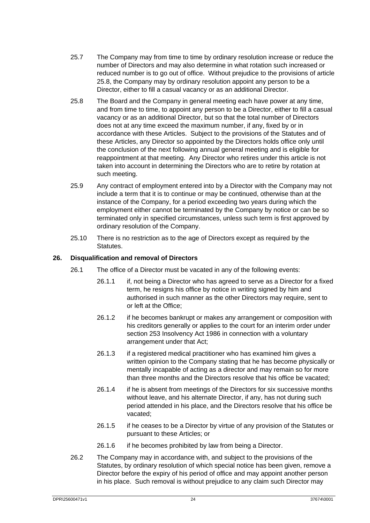- 25.7 The Company may from time to time by ordinary resolution increase or reduce the number of Directors and may also determine in what rotation such increased or reduced number is to go out of office. Without prejudice to the provisions of article [25.8,](#page-27-1) the Company may by ordinary resolution appoint any person to be a Director, either to fill a casual vacancy or as an additional Director.
- <span id="page-27-1"></span>25.8 The Board and the Company in general meeting each have power at any time, and from time to time, to appoint any person to be a Director, either to fill a casual vacancy or as an additional Director, but so that the total number of Directors does not at any time exceed the maximum number, if any, fixed by or in accordance with these Articles. Subject to the provisions of the Statutes and of these Articles, any Director so appointed by the Directors holds office only until the conclusion of the next following annual general meeting and is eligible for reappointment at that meeting. Any Director who retires under this article is not taken into account in determining the Directors who are to retire by rotation at such meeting.
- 25.9 Any contract of employment entered into by a Director with the Company may not include a term that it is to continue or may be continued, otherwise than at the instance of the Company, for a period exceeding two years during which the employment either cannot be terminated by the Company by notice or can be so terminated only in specified circumstances, unless such term is first approved by ordinary resolution of the Company.
- 25.10 There is no restriction as to the age of Directors except as required by the Statutes.

#### <span id="page-27-2"></span><span id="page-27-0"></span>**26. Disqualification and removal of Directors**

- 26.1 The office of a Director must be vacated in any of the following events:
	- 26.1.1 if, not being a Director who has agreed to serve as a Director for a fixed term, he resigns his office by notice in writing signed by him and authorised in such manner as the other Directors may require, sent to or left at the Office;
	- 26.1.2 if he becomes bankrupt or makes any arrangement or composition with his creditors generally or applies to the court for an interim order under section 253 Insolvency Act 1986 in connection with a voluntary arrangement under that Act;
	- 26.1.3 if a registered medical practitioner who has examined him gives a written opinion to the Company stating that he has become physically or mentally incapable of acting as a director and may remain so for more than three months and the Directors resolve that his office be vacated;
	- 26.1.4 if he is absent from meetings of the Directors for six successive months without leave, and his alternate Director, if any, has not during such period attended in his place, and the Directors resolve that his office be vacated;
	- 26.1.5 if he ceases to be a Director by virtue of any provision of the Statutes or pursuant to these Articles; or
	- 26.1.6 if he becomes prohibited by law from being a Director.
- 26.2 The Company may in accordance with, and subject to the provisions of the Statutes, by ordinary resolution of which special notice has been given, remove a Director before the expiry of his period of office and may appoint another person in his place. Such removal is without prejudice to any claim such Director may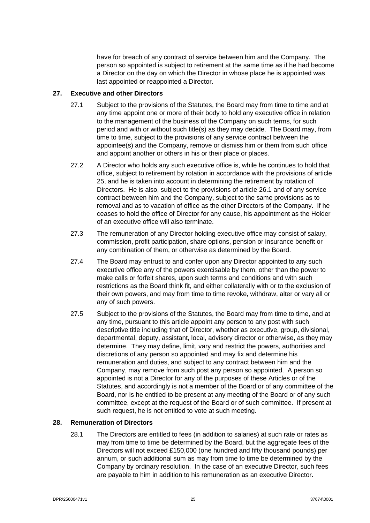have for breach of any contract of service between him and the Company. The person so appointed is subject to retirement at the same time as if he had become a Director on the day on which the Director in whose place he is appointed was last appointed or reappointed a Director.

#### <span id="page-28-0"></span>**27. Executive and other Directors**

- 27.1 Subject to the provisions of the Statutes, the Board may from time to time and at any time appoint one or more of their body to hold any executive office in relation to the management of the business of the Company on such terms, for such period and with or without such title(s) as they may decide. The Board may, from time to time, subject to the provisions of any service contract between the appointee(s) and the Company, remove or dismiss him or them from such office and appoint another or others in his or their place or places.
- 27.2 A Director who holds any such executive office is, while he continues to hold that office, subject to retirement by rotation in accordance with the provisions of article [25,](#page-26-5) and he is taken into account in determining the retirement by rotation of Directors. He is also, subject to the provisions of article [26.1](#page-27-2) and of any service contract between him and the Company, subject to the same provisions as to removal and as to vacation of office as the other Directors of the Company. If he ceases to hold the office of Director for any cause, his appointment as the Holder of an executive office will also terminate.
- 27.3 The remuneration of any Director holding executive office may consist of salary, commission, profit participation, share options, pension or insurance benefit or any combination of them, or otherwise as determined by the Board.
- 27.4 The Board may entrust to and confer upon any Director appointed to any such executive office any of the powers exercisable by them, other than the power to make calls or forfeit shares, upon such terms and conditions and with such restrictions as the Board think fit, and either collaterally with or to the exclusion of their own powers, and may from time to time revoke, withdraw, alter or vary all or any of such powers.
- 27.5 Subject to the provisions of the Statutes, the Board may from time to time, and at any time, pursuant to this article appoint any person to any post with such descriptive title including that of Director, whether as executive, group, divisional, departmental, deputy, assistant, local, advisory director or otherwise, as they may determine. They may define, limit, vary and restrict the powers, authorities and discretions of any person so appointed and may fix and determine his remuneration and duties, and subject to any contract between him and the Company, may remove from such post any person so appointed. A person so appointed is not a Director for any of the purposes of these Articles or of the Statutes, and accordingly is not a member of the Board or of any committee of the Board, nor is he entitled to be present at any meeting of the Board or of any such committee, except at the request of the Board or of such committee. If present at such request, he is not entitled to vote at such meeting.

#### <span id="page-28-1"></span>**28. Remuneration of Directors**

28.1 The Directors are entitled to fees (in addition to salaries) at such rate or rates as may from time to time be determined by the Board, but the aggregate fees of the Directors will not exceed £150,000 (one hundred and fifty thousand pounds) per annum, or such additional sum as may from time to time be determined by the Company by ordinary resolution. In the case of an executive Director, such fees are payable to him in addition to his remuneration as an executive Director.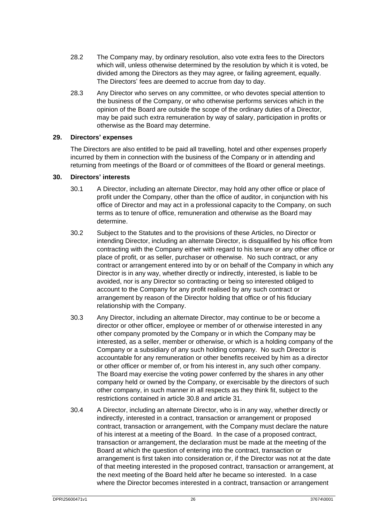- 28.2 The Company may, by ordinary resolution, also vote extra fees to the Directors which will, unless otherwise determined by the resolution by which it is voted, be divided among the Directors as they may agree, or failing agreement, equally. The Directors' fees are deemed to accrue from day to day.
- 28.3 Any Director who serves on any committee, or who devotes special attention to the business of the Company, or who otherwise performs services which in the opinion of the Board are outside the scope of the ordinary duties of a Director, may be paid such extra remuneration by way of salary, participation in profits or otherwise as the Board may determine.

#### <span id="page-29-0"></span>**29. Directors' expenses**

The Directors are also entitled to be paid all travelling, hotel and other expenses properly incurred by them in connection with the business of the Company or in attending and returning from meetings of the Board or of committees of the Board or general meetings.

#### <span id="page-29-1"></span>**30. Directors' interests**

- 30.1 A Director, including an alternate Director, may hold any other office or place of profit under the Company, other than the office of auditor, in conjunction with his office of Director and may act in a professional capacity to the Company, on such terms as to tenure of office, remuneration and otherwise as the Board may determine.
- 30.2 Subject to the Statutes and to the provisions of these Articles, no Director or intending Director, including an alternate Director, is disqualified by his office from contracting with the Company either with regard to his tenure or any other office or place of profit, or as seller, purchaser or otherwise. No such contract, or any contract or arrangement entered into by or on behalf of the Company in which any Director is in any way, whether directly or indirectly, interested, is liable to be avoided, nor is any Director so contracting or being so interested obliged to account to the Company for any profit realised by any such contract or arrangement by reason of the Director holding that office or of his fiduciary relationship with the Company.
- 30.3 Any Director, including an alternate Director, may continue to be or become a director or other officer, employee or member of or otherwise interested in any other company promoted by the Company or in which the Company may be interested, as a seller, member or otherwise, or which is a holding company of the Company or a subsidiary of any such holding company. No such Director is accountable for any remuneration or other benefits received by him as a director or other officer or member of, or from his interest in, any such other company. The Board may exercise the voting power conferred by the shares in any other company held or owned by the Company, or exercisable by the directors of such other company, in such manner in all respects as they think fit, subject to the restrictions contained in article [30.8](#page-30-0) and article [31.](#page-31-1)
- <span id="page-29-2"></span>30.4 A Director, including an alternate Director, who is in any way, whether directly or indirectly, interested in a contract, transaction or arrangement or proposed contract, transaction or arrangement, with the Company must declare the nature of his interest at a meeting of the Board. In the case of a proposed contract, transaction or arrangement, the declaration must be made at the meeting of the Board at which the question of entering into the contract, transaction or arrangement is first taken into consideration or, if the Director was not at the date of that meeting interested in the proposed contract, transaction or arrangement, at the next meeting of the Board held after he became so interested. In a case where the Director becomes interested in a contract, transaction or arrangement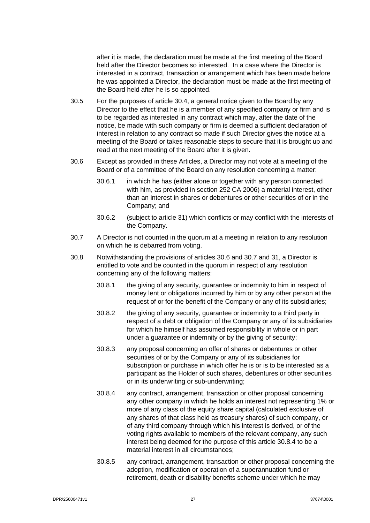after it is made, the declaration must be made at the first meeting of the Board held after the Director becomes so interested. In a case where the Director is interested in a contract, transaction or arrangement which has been made before he was appointed a Director, the declaration must be made at the first meeting of the Board held after he is so appointed.

- 30.5 For the purposes of article [30.4,](#page-29-2) a general notice given to the Board by any Director to the effect that he is a member of any specified company or firm and is to be regarded as interested in any contract which may, after the date of the notice, be made with such company or firm is deemed a sufficient declaration of interest in relation to any contract so made if such Director gives the notice at a meeting of the Board or takes reasonable steps to secure that it is brought up and read at the next meeting of the Board after it is given.
- <span id="page-30-1"></span>30.6 Except as provided in these Articles, a Director may not vote at a meeting of the Board or of a committee of the Board on any resolution concerning a matter:
	- 30.6.1 in which he has (either alone or together with any person connected with him, as provided in section 252 CA 2006) a material interest, other than an interest in shares or debentures or other securities of or in the Company; and
	- 30.6.2 (subject to article [31\)](#page-31-1) which conflicts or may conflict with the interests of the Company.
- <span id="page-30-2"></span>30.7 A Director is not counted in the quorum at a meeting in relation to any resolution on which he is debarred from voting.
- <span id="page-30-3"></span><span id="page-30-0"></span>30.8 Notwithstanding the provisions of articles [30.6](#page-30-1) and [30.7](#page-30-2) an[d 31,](#page-31-1) a Director is entitled to vote and be counted in the quorum in respect of any resolution concerning any of the following matters:
	- 30.8.1 the giving of any security, guarantee or indemnity to him in respect of money lent or obligations incurred by him or by any other person at the request of or for the benefit of the Company or any of its subsidiaries;
	- 30.8.2 the giving of any security, guarantee or indemnity to a third party in respect of a debt or obligation of the Company or any of its subsidiaries for which he himself has assumed responsibility in whole or in part under a guarantee or indemnity or by the giving of security;
	- 30.8.3 any proposal concerning an offer of shares or debentures or other securities of or by the Company or any of its subsidiaries for subscription or purchase in which offer he is or is to be interested as a participant as the Holder of such shares, debentures or other securities or in its underwriting or sub-underwriting;
	- 30.8.4 any contract, arrangement, transaction or other proposal concerning any other company in which he holds an interest not representing 1% or more of any class of the equity share capital (calculated exclusive of any shares of that class held as treasury shares) of such company, or of any third company through which his interest is derived, or of the voting rights available to members of the relevant company, any such interest being deemed for the purpose of this article [30.8.4](#page-30-3) to be a material interest in all circumstances;
	- 30.8.5 any contract, arrangement, transaction or other proposal concerning the adoption, modification or operation of a superannuation fund or retirement, death or disability benefits scheme under which he may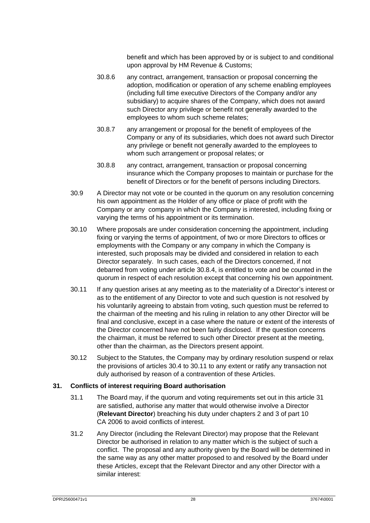benefit and which has been approved by or is subject to and conditional upon approval by HM Revenue & Customs;

- 30.8.6 any contract, arrangement, transaction or proposal concerning the adoption, modification or operation of any scheme enabling employees (including full time executive Directors of the Company and/or any subsidiary) to acquire shares of the Company, which does not award such Director any privilege or benefit not generally awarded to the employees to whom such scheme relates;
- 30.8.7 any arrangement or proposal for the benefit of employees of the Company or any of its subsidiaries, which does not award such Director any privilege or benefit not generally awarded to the employees to whom such arrangement or proposal relates; or
- 30.8.8 any contract, arrangement, transaction or proposal concerning insurance which the Company proposes to maintain or purchase for the benefit of Directors or for the benefit of persons including Directors.
- 30.9 A Director may not vote or be counted in the quorum on any resolution concerning his own appointment as the Holder of any office or place of profit with the Company or any company in which the Company is interested, including fixing or varying the terms of his appointment or its termination.
- 30.10 Where proposals are under consideration concerning the appointment, including fixing or varying the terms of appointment, of two or more Directors to offices or employments with the Company or any company in which the Company is interested, such proposals may be divided and considered in relation to each Director separately. In such cases, each of the Directors concerned, if not debarred from voting under article [30.8.4,](#page-30-3) is entitled to vote and be counted in the quorum in respect of each resolution except that concerning his own appointment.
- <span id="page-31-2"></span>30.11 If any question arises at any meeting as to the materiality of a Director's interest or as to the entitlement of any Director to vote and such question is not resolved by his voluntarily agreeing to abstain from voting, such question must be referred to the chairman of the meeting and his ruling in relation to any other Director will be final and conclusive, except in a case where the nature or extent of the interests of the Director concerned have not been fairly disclosed. If the question concerns the chairman, it must be referred to such other Director present at the meeting, other than the chairman, as the Directors present appoint.
- 30.12 Subject to the Statutes, the Company may by ordinary resolution suspend or relax the provisions of articles [30.4](#page-29-2) to [30.11](#page-31-2) to any extent or ratify any transaction not duly authorised by reason of a contravention of these Articles.

#### <span id="page-31-1"></span><span id="page-31-0"></span>**31. Conflicts of interest requiring Board authorisation**

- 31.1 The Board may, if the quorum and voting requirements set out in this article [31](#page-31-1) are satisfied, authorise any matter that would otherwise involve a Director (**Relevant Director**) breaching his duty under chapters 2 and 3 of part 10 CA 2006 to avoid conflicts of interest.
- 31.2 Any Director (including the Relevant Director) may propose that the Relevant Director be authorised in relation to any matter which is the subject of such a conflict. The proposal and any authority given by the Board will be determined in the same way as any other matter proposed to and resolved by the Board under these Articles, except that the Relevant Director and any other Director with a similar interest: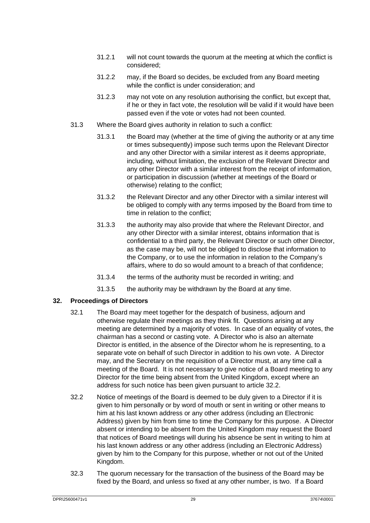- 31.2.1 will not count towards the quorum at the meeting at which the conflict is considered;
- 31.2.2 may, if the Board so decides, be excluded from any Board meeting while the conflict is under consideration; and
- 31.2.3 may not vote on any resolution authorising the conflict, but except that, if he or they in fact vote, the resolution will be valid if it would have been passed even if the vote or votes had not been counted.
- 31.3 Where the Board gives authority in relation to such a conflict:
	- 31.3.1 the Board may (whether at the time of giving the authority or at any time or times subsequently) impose such terms upon the Relevant Director and any other Director with a similar interest as it deems appropriate, including, without limitation, the exclusion of the Relevant Director and any other Director with a similar interest from the receipt of information, or participation in discussion (whether at meetings of the Board or otherwise) relating to the conflict;
	- 31.3.2 the Relevant Director and any other Director with a similar interest will be obliged to comply with any terms imposed by the Board from time to time in relation to the conflict;
	- 31.3.3 the authority may also provide that where the Relevant Director, and any other Director with a similar interest, obtains information that is confidential to a third party, the Relevant Director or such other Director, as the case may be, will not be obliged to disclose that information to the Company, or to use the information in relation to the Company's affairs, where to do so would amount to a breach of that confidence;
	- 31.3.4 the terms of the authority must be recorded in writing; and
	- 31.3.5 the authority may be withdrawn by the Board at any time.

#### <span id="page-32-0"></span>**32. Proceedings of Directors**

- 32.1 The Board may meet together for the despatch of business, adjourn and otherwise regulate their meetings as they think fit. Questions arising at any meeting are determined by a majority of votes. In case of an equality of votes, the chairman has a second or casting vote. A Director who is also an alternate Director is entitled, in the absence of the Director whom he is representing, to a separate vote on behalf of such Director in addition to his own vote. A Director may, and the Secretary on the requisition of a Director must, at any time call a meeting of the Board. It is not necessary to give notice of a Board meeting to any Director for the time being absent from the United Kingdom, except where an address for such notice has been given pursuant to article [32.2.](#page-32-1)
- <span id="page-32-1"></span>32.2 Notice of meetings of the Board is deemed to be duly given to a Director if it is given to him personally or by word of mouth or sent in writing or other means to him at his last known address or any other address (including an Electronic Address) given by him from time to time the Company for this purpose. A Director absent or intending to be absent from the United Kingdom may request the Board that notices of Board meetings will during his absence be sent in writing to him at his last known address or any other address (including an Electronic Address) given by him to the Company for this purpose, whether or not out of the United Kingdom.
- 32.3 The quorum necessary for the transaction of the business of the Board may be fixed by the Board, and unless so fixed at any other number, is two. If a Board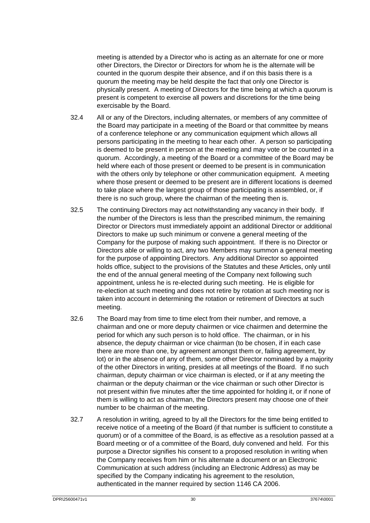meeting is attended by a Director who is acting as an alternate for one or more other Directors, the Director or Directors for whom he is the alternate will be counted in the quorum despite their absence, and if on this basis there is a quorum the meeting may be held despite the fact that only one Director is physically present. A meeting of Directors for the time being at which a quorum is present is competent to exercise all powers and discretions for the time being exercisable by the Board.

- 32.4 All or any of the Directors, including alternates, or members of any committee of the Board may participate in a meeting of the Board or that committee by means of a conference telephone or any communication equipment which allows all persons participating in the meeting to hear each other. A person so participating is deemed to be present in person at the meeting and may vote or be counted in a quorum. Accordingly, a meeting of the Board or a committee of the Board may be held where each of those present or deemed to be present is in communication with the others only by telephone or other communication equipment. A meeting where those present or deemed to be present are in different locations is deemed to take place where the largest group of those participating is assembled, or, if there is no such group, where the chairman of the meeting then is.
- 32.5 The continuing Directors may act notwithstanding any vacancy in their body. If the number of the Directors is less than the prescribed minimum, the remaining Director or Directors must immediately appoint an additional Director or additional Directors to make up such minimum or convene a general meeting of the Company for the purpose of making such appointment. If there is no Director or Directors able or willing to act, any two Members may summon a general meeting for the purpose of appointing Directors. Any additional Director so appointed holds office, subject to the provisions of the Statutes and these Articles, only until the end of the annual general meeting of the Company next following such appointment, unless he is re-elected during such meeting. He is eligible for re-election at such meeting and does not retire by rotation at such meeting nor is taken into account in determining the rotation or retirement of Directors at such meeting.
- 32.6 The Board may from time to time elect from their number, and remove, a chairman and one or more deputy chairmen or vice chairmen and determine the period for which any such person is to hold office. The chairman, or in his absence, the deputy chairman or vice chairman (to be chosen, if in each case there are more than one, by agreement amongst them or, failing agreement, by lot) or in the absence of any of them, some other Director nominated by a majority of the other Directors in writing, presides at all meetings of the Board. If no such chairman, deputy chairman or vice chairman is elected, or if at any meeting the chairman or the deputy chairman or the vice chairman or such other Director is not present within five minutes after the time appointed for holding it, or if none of them is willing to act as chairman, the Directors present may choose one of their number to be chairman of the meeting.
- 32.7 A resolution in writing, agreed to by all the Directors for the time being entitled to receive notice of a meeting of the Board (if that number is sufficient to constitute a quorum) or of a committee of the Board, is as effective as a resolution passed at a Board meeting or of a committee of the Board, duly convened and held. For this purpose a Director signifies his consent to a proposed resolution in writing when the Company receives from him or his alternate a document or an Electronic Communication at such address (including an Electronic Address) as may be specified by the Company indicating his agreement to the resolution, authenticated in the manner required by section 1146 CA 2006.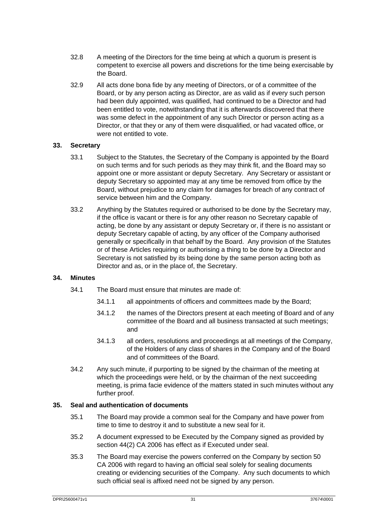- 32.8 A meeting of the Directors for the time being at which a quorum is present is competent to exercise all powers and discretions for the time being exercisable by the Board.
- 32.9 All acts done bona fide by any meeting of Directors, or of a committee of the Board, or by any person acting as Director, are as valid as if every such person had been duly appointed, was qualified, had continued to be a Director and had been entitled to vote, notwithstanding that it is afterwards discovered that there was some defect in the appointment of any such Director or person acting as a Director, or that they or any of them were disqualified, or had vacated office, or were not entitled to vote.

#### <span id="page-34-0"></span>**33. Secretary**

- 33.1 Subject to the Statutes, the Secretary of the Company is appointed by the Board on such terms and for such periods as they may think fit, and the Board may so appoint one or more assistant or deputy Secretary. Any Secretary or assistant or deputy Secretary so appointed may at any time be removed from office by the Board, without prejudice to any claim for damages for breach of any contract of service between him and the Company.
- 33.2 Anything by the Statutes required or authorised to be done by the Secretary may, if the office is vacant or there is for any other reason no Secretary capable of acting, be done by any assistant or deputy Secretary or, if there is no assistant or deputy Secretary capable of acting, by any officer of the Company authorised generally or specifically in that behalf by the Board. Any provision of the Statutes or of these Articles requiring or authorising a thing to be done by a Director and Secretary is not satisfied by its being done by the same person acting both as Director and as, or in the place of, the Secretary.

#### <span id="page-34-1"></span>**34. Minutes**

- 34.1 The Board must ensure that minutes are made of:
	- 34.1.1 all appointments of officers and committees made by the Board;
	- 34.1.2 the names of the Directors present at each meeting of Board and of any committee of the Board and all business transacted at such meetings; and
	- 34.1.3 all orders, resolutions and proceedings at all meetings of the Company, of the Holders of any class of shares in the Company and of the Board and of committees of the Board.
- 34.2 Any such minute, if purporting to be signed by the chairman of the meeting at which the proceedings were held, or by the chairman of the next succeeding meeting, is prima facie evidence of the matters stated in such minutes without any further proof.

#### <span id="page-34-2"></span>**35. Seal and authentication of documents**

- 35.1 The Board may provide a common seal for the Company and have power from time to time to destroy it and to substitute a new seal for it.
- 35.2 A document expressed to be Executed by the Company signed as provided by section 44(2) CA 2006 has effect as if Executed under seal.
- 35.3 The Board may exercise the powers conferred on the Company by section 50 CA 2006 with regard to having an official seal solely for sealing documents creating or evidencing securities of the Company. Any such documents to which such official seal is affixed need not be signed by any person.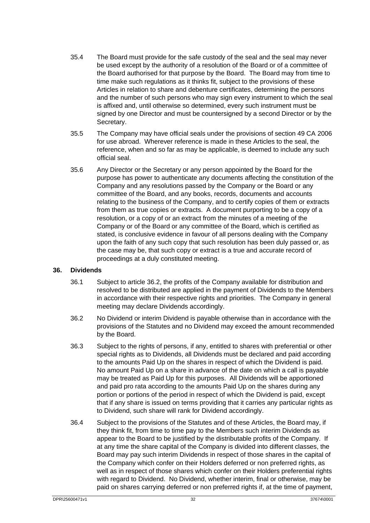- 35.4 The Board must provide for the safe custody of the seal and the seal may never be used except by the authority of a resolution of the Board or of a committee of the Board authorised for that purpose by the Board. The Board may from time to time make such regulations as it thinks fit, subject to the provisions of these Articles in relation to share and debenture certificates, determining the persons and the number of such persons who may sign every instrument to which the seal is affixed and, until otherwise so determined, every such instrument must be signed by one Director and must be countersigned by a second Director or by the Secretary.
- 35.5 The Company may have official seals under the provisions of section 49 CA 2006 for use abroad. Wherever reference is made in these Articles to the seal, the reference, when and so far as may be applicable, is deemed to include any such official seal.
- 35.6 Any Director or the Secretary or any person appointed by the Board for the purpose has power to authenticate any documents affecting the constitution of the Company and any resolutions passed by the Company or the Board or any committee of the Board, and any books, records, documents and accounts relating to the business of the Company, and to certify copies of them or extracts from them as true copies or extracts. A document purporting to be a copy of a resolution, or a copy of or an extract from the minutes of a meeting of the Company or of the Board or any committee of the Board, which is certified as stated, is conclusive evidence in favour of all persons dealing with the Company upon the faith of any such copy that such resolution has been duly passed or, as the case may be, that such copy or extract is a true and accurate record of proceedings at a duly constituted meeting.

#### <span id="page-35-0"></span>**36. Dividends**

- 36.1 Subject to article [36.2,](#page-35-1) the profits of the Company available for distribution and resolved to be distributed are applied in the payment of Dividends to the Members in accordance with their respective rights and priorities. The Company in general meeting may declare Dividends accordingly.
- <span id="page-35-1"></span>36.2 No Dividend or interim Dividend is payable otherwise than in accordance with the provisions of the Statutes and no Dividend may exceed the amount recommended by the Board.
- 36.3 Subject to the rights of persons, if any, entitled to shares with preferential or other special rights as to Dividends, all Dividends must be declared and paid according to the amounts Paid Up on the shares in respect of which the Dividend is paid. No amount Paid Up on a share in advance of the date on which a call is payable may be treated as Paid Up for this purposes. All Dividends will be apportioned and paid pro rata according to the amounts Paid Up on the shares during any portion or portions of the period in respect of which the Dividend is paid, except that if any share is issued on terms providing that it carries any particular rights as to Dividend, such share will rank for Dividend accordingly.
- 36.4 Subject to the provisions of the Statutes and of these Articles, the Board may, if they think fit, from time to time pay to the Members such interim Dividends as appear to the Board to be justified by the distributable profits of the Company. If at any time the share capital of the Company is divided into different classes, the Board may pay such interim Dividends in respect of those shares in the capital of the Company which confer on their Holders deferred or non preferred rights, as well as in respect of those shares which confer on their Holders preferential rights with regard to Dividend. No Dividend, whether interim, final or otherwise, may be paid on shares carrying deferred or non preferred rights if, at the time of payment,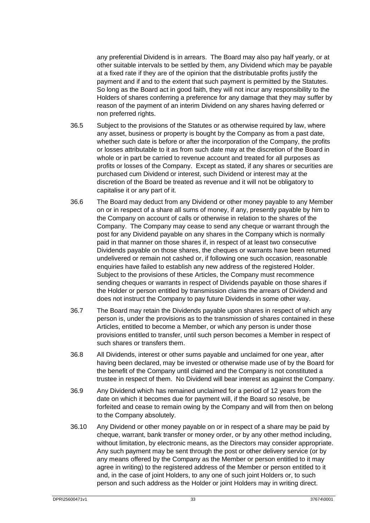any preferential Dividend is in arrears. The Board may also pay half yearly, or at other suitable intervals to be settled by them, any Dividend which may be payable at a fixed rate if they are of the opinion that the distributable profits justify the payment and if and to the extent that such payment is permitted by the Statutes. So long as the Board act in good faith, they will not incur any responsibility to the Holders of shares conferring a preference for any damage that they may suffer by reason of the payment of an interim Dividend on any shares having deferred or non preferred rights.

- 36.5 Subject to the provisions of the Statutes or as otherwise required by law, where any asset, business or property is bought by the Company as from a past date, whether such date is before or after the incorporation of the Company, the profits or losses attributable to it as from such date may at the discretion of the Board in whole or in part be carried to revenue account and treated for all purposes as profits or losses of the Company. Except as stated, if any shares or securities are purchased cum Dividend or interest, such Dividend or interest may at the discretion of the Board be treated as revenue and it will not be obligatory to capitalise it or any part of it.
- 36.6 The Board may deduct from any Dividend or other money payable to any Member on or in respect of a share all sums of money, if any, presently payable by him to the Company on account of calls or otherwise in relation to the shares of the Company. The Company may cease to send any cheque or warrant through the post for any Dividend payable on any shares in the Company which is normally paid in that manner on those shares if, in respect of at least two consecutive Dividends payable on those shares, the cheques or warrants have been returned undelivered or remain not cashed or, if following one such occasion, reasonable enquiries have failed to establish any new address of the registered Holder. Subject to the provisions of these Articles, the Company must recommence sending cheques or warrants in respect of Dividends payable on those shares if the Holder or person entitled by transmission claims the arrears of Dividend and does not instruct the Company to pay future Dividends in some other way.
- 36.7 The Board may retain the Dividends payable upon shares in respect of which any person is, under the provisions as to the transmission of shares contained in these Articles, entitled to become a Member, or which any person is under those provisions entitled to transfer, until such person becomes a Member in respect of such shares or transfers them.
- 36.8 All Dividends, interest or other sums payable and unclaimed for one year, after having been declared, may be invested or otherwise made use of by the Board for the benefit of the Company until claimed and the Company is not constituted a trustee in respect of them. No Dividend will bear interest as against the Company.
- 36.9 Any Dividend which has remained unclaimed for a period of 12 years from the date on which it becomes due for payment will, if the Board so resolve, be forfeited and cease to remain owing by the Company and will from then on belong to the Company absolutely.
- 36.10 Any Dividend or other money payable on or in respect of a share may be paid by cheque, warrant, bank transfer or money order, or by any other method including, without limitation, by electronic means, as the Directors may consider appropriate. Any such payment may be sent through the post or other delivery service (or by any means offered by the Company as the Member or person entitled to it may agree in writing) to the registered address of the Member or person entitled to it and, in the case of joint Holders, to any one of such joint Holders or, to such person and such address as the Holder or joint Holders may in writing direct.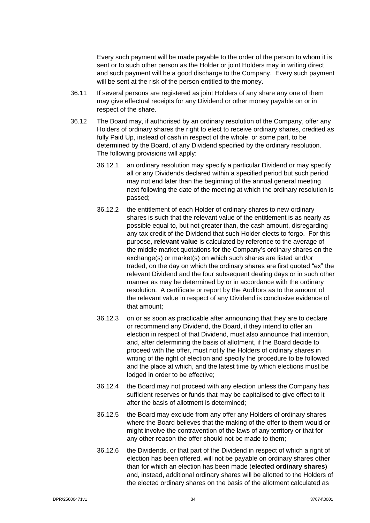Every such payment will be made payable to the order of the person to whom it is sent or to such other person as the Holder or joint Holders may in writing direct and such payment will be a good discharge to the Company. Every such payment will be sent at the risk of the person entitled to the money.

- 36.11 If several persons are registered as joint Holders of any share any one of them may give effectual receipts for any Dividend or other money payable on or in respect of the share.
- <span id="page-37-0"></span>36.12 The Board may, if authorised by an ordinary resolution of the Company, offer any Holders of ordinary shares the right to elect to receive ordinary shares, credited as fully Paid Up, instead of cash in respect of the whole, or some part, to be determined by the Board, of any Dividend specified by the ordinary resolution. The following provisions will apply:
	- 36.12.1 an ordinary resolution may specify a particular Dividend or may specify all or any Dividends declared within a specified period but such period may not end later than the beginning of the annual general meeting next following the date of the meeting at which the ordinary resolution is passed;
	- 36.12.2 the entitlement of each Holder of ordinary shares to new ordinary shares is such that the relevant value of the entitlement is as nearly as possible equal to, but not greater than, the cash amount, disregarding any tax credit of the Dividend that such Holder elects to forgo. For this purpose, **relevant value** is calculated by reference to the average of the middle market quotations for the Company's ordinary shares on the exchange(s) or market(s) on which such shares are listed and/or traded, on the day on which the ordinary shares are first quoted "ex" the relevant Dividend and the four subsequent dealing days or in such other manner as may be determined by or in accordance with the ordinary resolution. A certificate or report by the Auditors as to the amount of the relevant value in respect of any Dividend is conclusive evidence of that amount;
	- 36.12.3 on or as soon as practicable after announcing that they are to declare or recommend any Dividend, the Board, if they intend to offer an election in respect of that Dividend, must also announce that intention, and, after determining the basis of allotment, if the Board decide to proceed with the offer, must notify the Holders of ordinary shares in writing of the right of election and specify the procedure to be followed and the place at which, and the latest time by which elections must be lodged in order to be effective;
	- 36.12.4 the Board may not proceed with any election unless the Company has sufficient reserves or funds that may be capitalised to give effect to it after the basis of allotment is determined;
	- 36.12.5 the Board may exclude from any offer any Holders of ordinary shares where the Board believes that the making of the offer to them would or might involve the contravention of the laws of any territory or that for any other reason the offer should not be made to them;
	- 36.12.6 the Dividends, or that part of the Dividend in respect of which a right of election has been offered, will not be payable on ordinary shares other than for which an election has been made (**elected ordinary shares**) and, instead, additional ordinary shares will be allotted to the Holders of the elected ordinary shares on the basis of the allotment calculated as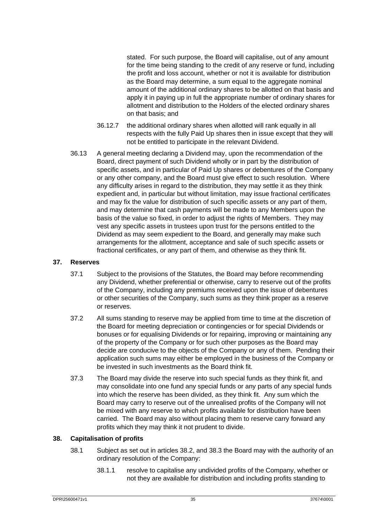stated. For such purpose, the Board will capitalise, out of any amount for the time being standing to the credit of any reserve or fund, including the profit and loss account, whether or not it is available for distribution as the Board may determine, a sum equal to the aggregate nominal amount of the additional ordinary shares to be allotted on that basis and apply it in paying up in full the appropriate number of ordinary shares for allotment and distribution to the Holders of the elected ordinary shares on that basis; and

- 36.12.7 the additional ordinary shares when allotted will rank equally in all respects with the fully Paid Up shares then in issue except that they will not be entitled to participate in the relevant Dividend.
- 36.13 A general meeting declaring a Dividend may, upon the recommendation of the Board, direct payment of such Dividend wholly or in part by the distribution of specific assets, and in particular of Paid Up shares or debentures of the Company or any other company, and the Board must give effect to such resolution. Where any difficulty arises in regard to the distribution, they may settle it as they think expedient and, in particular but without limitation, may issue fractional certificates and may fix the value for distribution of such specific assets or any part of them, and may determine that cash payments will be made to any Members upon the basis of the value so fixed, in order to adjust the rights of Members. They may vest any specific assets in trustees upon trust for the persons entitled to the Dividend as may seem expedient to the Board, and generally may make such arrangements for the allotment, acceptance and sale of such specific assets or fractional certificates, or any part of them, and otherwise as they think fit.

#### <span id="page-38-0"></span>**37. Reserves**

- 37.1 Subject to the provisions of the Statutes, the Board may before recommending any Dividend, whether preferential or otherwise, carry to reserve out of the profits of the Company, including any premiums received upon the issue of debentures or other securities of the Company, such sums as they think proper as a reserve or reserves.
- 37.2 All sums standing to reserve may be applied from time to time at the discretion of the Board for meeting depreciation or contingencies or for special Dividends or bonuses or for equalising Dividends or for repairing, improving or maintaining any of the property of the Company or for such other purposes as the Board may decide are conducive to the objects of the Company or any of them. Pending their application such sums may either be employed in the business of the Company or be invested in such investments as the Board think fit.
- 37.3 The Board may divide the reserve into such special funds as they think fit, and may consolidate into one fund any special funds or any parts of any special funds into which the reserve has been divided, as they think fit. Any sum which the Board may carry to reserve out of the unrealised profits of the Company will not be mixed with any reserve to which profits available for distribution have been carried. The Board may also without placing them to reserve carry forward any profits which they may think it not prudent to divide.

#### <span id="page-38-2"></span><span id="page-38-1"></span>**38. Capitalisation of profits**

- 38.1 Subject as set out in articles [38.2,](#page-39-1) and [38.3](#page-39-2) the Board may with the authority of an ordinary resolution of the Company:
	- 38.1.1 resolve to capitalise any undivided profits of the Company, whether or not they are available for distribution and including profits standing to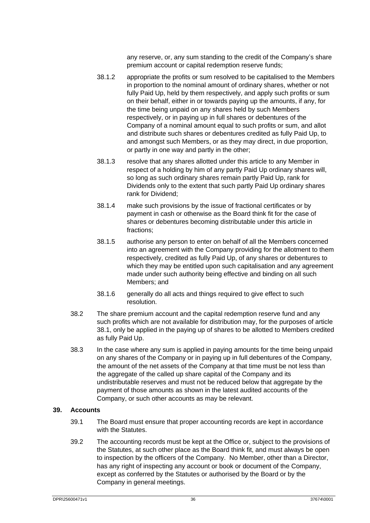any reserve, or, any sum standing to the credit of the Company's share premium account or capital redemption reserve funds;

- 38.1.2 appropriate the profits or sum resolved to be capitalised to the Members in proportion to the nominal amount of ordinary shares, whether or not fully Paid Up, held by them respectively, and apply such profits or sum on their behalf, either in or towards paying up the amounts, if any, for the time being unpaid on any shares held by such Members respectively, or in paying up in full shares or debentures of the Company of a nominal amount equal to such profits or sum, and allot and distribute such shares or debentures credited as fully Paid Up, to and amongst such Members, or as they may direct, in due proportion, or partly in one way and partly in the other;
- 38.1.3 resolve that any shares allotted under this article to any Member in respect of a holding by him of any partly Paid Up ordinary shares will, so long as such ordinary shares remain partly Paid Up, rank for Dividends only to the extent that such partly Paid Up ordinary shares rank for Dividend;
- 38.1.4 make such provisions by the issue of fractional certificates or by payment in cash or otherwise as the Board think fit for the case of shares or debentures becoming distributable under this article in fractions;
- 38.1.5 authorise any person to enter on behalf of all the Members concerned into an agreement with the Company providing for the allotment to them respectively, credited as fully Paid Up, of any shares or debentures to which they may be entitled upon such capitalisation and any agreement made under such authority being effective and binding on all such Members; and
- 38.1.6 generally do all acts and things required to give effect to such resolution.
- <span id="page-39-1"></span>38.2 The share premium account and the capital redemption reserve fund and any such profits which are not available for distribution may, for the purposes of article [38.1,](#page-38-2) only be applied in the paying up of shares to be allotted to Members credited as fully Paid Up.
- <span id="page-39-2"></span>38.3 In the case where any sum is applied in paying amounts for the time being unpaid on any shares of the Company or in paying up in full debentures of the Company, the amount of the net assets of the Company at that time must be not less than the aggregate of the called up share capital of the Company and its undistributable reserves and must not be reduced below that aggregate by the payment of those amounts as shown in the latest audited accounts of the Company, or such other accounts as may be relevant.

#### <span id="page-39-0"></span>**39. Accounts**

- 39.1 The Board must ensure that proper accounting records are kept in accordance with the Statutes.
- 39.2 The accounting records must be kept at the Office or, subject to the provisions of the Statutes, at such other place as the Board think fit, and must always be open to inspection by the officers of the Company. No Member, other than a Director, has any right of inspecting any account or book or document of the Company, except as conferred by the Statutes or authorised by the Board or by the Company in general meetings.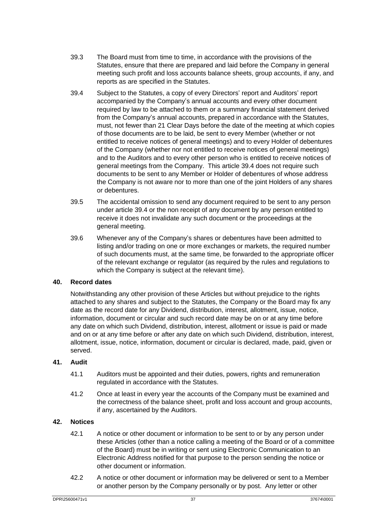- 39.3 The Board must from time to time, in accordance with the provisions of the Statutes, ensure that there are prepared and laid before the Company in general meeting such profit and loss accounts balance sheets, group accounts, if any, and reports as are specified in the Statutes.
- <span id="page-40-3"></span>39.4 Subject to the Statutes, a copy of every Directors' report and Auditors' report accompanied by the Company's annual accounts and every other document required by law to be attached to them or a summary financial statement derived from the Company's annual accounts, prepared in accordance with the Statutes, must, not fewer than 21 Clear Days before the date of the meeting at which copies of those documents are to be laid, be sent to every Member (whether or not entitled to receive notices of general meetings) and to every Holder of debentures of the Company (whether nor not entitled to receive notices of general meetings) and to the Auditors and to every other person who is entitled to receive notices of general meetings from the Company. This article [39.4](#page-40-3) does not require such documents to be sent to any Member or Holder of debentures of whose address the Company is not aware nor to more than one of the joint Holders of any shares or debentures.
- 39.5 The accidental omission to send any document required to be sent to any person under article [39.4](#page-40-3) or the non receipt of any document by any person entitled to receive it does not invalidate any such document or the proceedings at the general meeting.
- 39.6 Whenever any of the Company's shares or debentures have been admitted to listing and/or trading on one or more exchanges or markets, the required number of such documents must, at the same time, be forwarded to the appropriate officer of the relevant exchange or regulator (as required by the rules and regulations to which the Company is subject at the relevant time).

#### <span id="page-40-0"></span>**40. Record dates**

Notwithstanding any other provision of these Articles but without prejudice to the rights attached to any shares and subject to the Statutes, the Company or the Board may fix any date as the record date for any Dividend, distribution, interest, allotment, issue, notice, information, document or circular and such record date may be on or at any time before any date on which such Dividend, distribution, interest, allotment or issue is paid or made and on or at any time before or after any date on which such Dividend, distribution, interest, allotment, issue, notice, information, document or circular is declared, made, paid, given or served.

#### <span id="page-40-1"></span>**41. Audit**

- 41.1 Auditors must be appointed and their duties, powers, rights and remuneration regulated in accordance with the Statutes.
- 41.2 Once at least in every year the accounts of the Company must be examined and the correctness of the balance sheet, profit and loss account and group accounts, if any, ascertained by the Auditors.

#### <span id="page-40-2"></span>**42. Notices**

- 42.1 A notice or other document or information to be sent to or by any person under these Articles (other than a notice calling a meeting of the Board or of a committee of the Board) must be in writing or sent using Electronic Communication to an Electronic Address notified for that purpose to the person sending the notice or other document or information.
- <span id="page-40-4"></span>42.2 A notice or other document or information may be delivered or sent to a Member or another person by the Company personally or by post. Any letter or other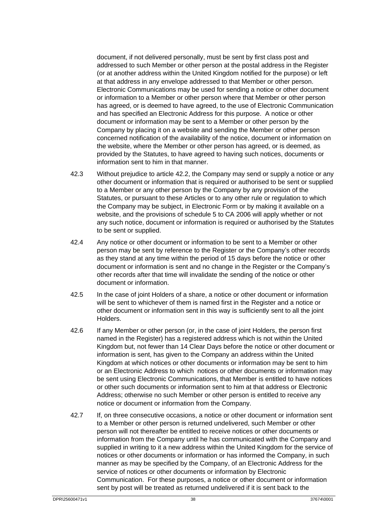document, if not delivered personally, must be sent by first class post and addressed to such Member or other person at the postal address in the Register (or at another address within the United Kingdom notified for the purpose) or left at that address in any envelope addressed to that Member or other person. Electronic Communications may be used for sending a notice or other document or information to a Member or other person where that Member or other person has agreed, or is deemed to have agreed, to the use of Electronic Communication and has specified an Electronic Address for this purpose. A notice or other document or information may be sent to a Member or other person by the Company by placing it on a website and sending the Member or other person concerned notification of the availability of the notice, document or information on the website, where the Member or other person has agreed, or is deemed, as provided by the Statutes, to have agreed to having such notices, documents or information sent to him in that manner.

- 42.3 Without prejudice to article [42.2,](#page-40-4) the Company may send or supply a notice or any other document or information that is required or authorised to be sent or supplied to a Member or any other person by the Company by any provision of the Statutes, or pursuant to these Articles or to any other rule or regulation to which the Company may be subject, in Electronic Form or by making it available on a website, and the provisions of schedule 5 to CA 2006 will apply whether or not any such notice, document or information is required or authorised by the Statutes to be sent or supplied.
- 42.4 Any notice or other document or information to be sent to a Member or other person may be sent by reference to the Register or the Company's other records as they stand at any time within the period of 15 days before the notice or other document or information is sent and no change in the Register or the Company's other records after that time will invalidate the sending of the notice or other document or information.
- 42.5 In the case of joint Holders of a share, a notice or other document or information will be sent to whichever of them is named first in the Register and a notice or other document or information sent in this way is sufficiently sent to all the joint Holders.
- 42.6 If any Member or other person (or, in the case of joint Holders, the person first named in the Register) has a registered address which is not within the United Kingdom but, not fewer than 14 Clear Days before the notice or other document or information is sent, has given to the Company an address within the United Kingdom at which notices or other documents or information may be sent to him or an Electronic Address to which notices or other documents or information may be sent using Electronic Communications, that Member is entitled to have notices or other such documents or information sent to him at that address or Electronic Address; otherwise no such Member or other person is entitled to receive any notice or document or information from the Company.
- 42.7 If, on three consecutive occasions, a notice or other document or information sent to a Member or other person is returned undelivered, such Member or other person will not thereafter be entitled to receive notices or other documents or information from the Company until he has communicated with the Company and supplied in writing to it a new address within the United Kingdom for the service of notices or other documents or information or has informed the Company, in such manner as may be specified by the Company, of an Electronic Address for the service of notices or other documents or information by Electronic Communication. For these purposes, a notice or other document or information sent by post will be treated as returned undelivered if it is sent back to the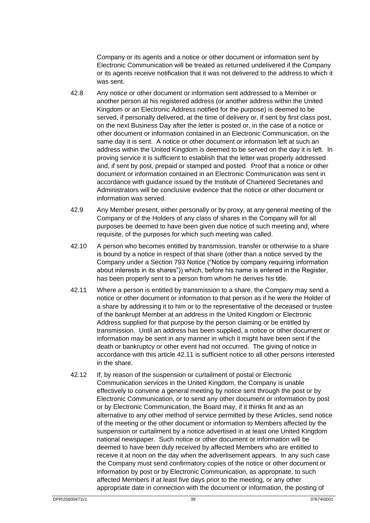Company or its agents and a notice or other document or information sent by Electronic Communication will be treated as returned undelivered if the Company or its agents receive notification that it was not delivered to the address to which it was sent.

- 42.8 Any notice or other document or information sent addressed to a Member or another person at his registered address (or another address within the United Kingdom or an Electronic Address notified for the purpose) is deemed to be served, if personally delivered, at the time of delivery or, if sent by first class post, on the next Business Day after the letter is posted or, in the case of a notice or other document or information contained in an Electronic Communication, on the same day it is sent. A notice or other document or information left at such an address within the United Kingdom is deemed to be served on the day it is left. In proving service it is sufficient to establish that the letter was properly addressed and, if sent by post, prepaid or stamped and posted. Proof that a notice or other document or information contained in an Electronic Communication was sent in accordance with guidance issued by the Institute of Chartered Secretaries and Administrators will be conclusive evidence that the notice or other document or information was served.
- 42.9 Any Member present, either personally or by proxy, at any general meeting of the Company or of the Holders of any class of shares in the Company will for all purposes be deemed to have been given due notice of such meeting and, where requisite, of the purposes for which such meeting was called.
- 42.10 A person who becomes entitled by transmission, transfer or otherwise to a share is bound by a notice in respect of that share (other than a notice served by the Company under a Section 793 Notice ("Notice by company requiring information about interests in its shares")) which, before his name is entered in the Register, has been properly sent to a person from whom he derives his title.
- <span id="page-42-0"></span>42.11 Where a person is entitled by transmission to a share, the Company may send a notice or other document or information to that person as if he were the Holder of a share by addressing it to him or to the representative of the deceased or trustee of the bankrupt Member at an address in the United Kingdom or Electronic Address supplied for that purpose by the person claiming or be entitled by transmission. Until an address has been supplied, a notice or other document or information may be sent in any manner in which it might have been sent if the death or bankruptcy or other event had not occurred. The giving of notice in accordance with this article [42.11](#page-42-0) is sufficient notice to all other persons interested in the share.
- 42.12 If, by reason of the suspension or curtailment of postal or Electronic Communication services in the United Kingdom, the Company is unable effectively to convene a general meeting by notice sent through the post or by Electronic Communication, or to send any other document or information by post or by Electronic Communication, the Board may, if it thinks fit and as an alternative to any other method of service permitted by these Articles, send notice of the meeting or the other document or information to Members affected by the suspension or curtailment by a notice advertised in at least one United Kingdom national newspaper. Such notice or other document or information will be deemed to have been duly received by affected Members who are entitled to receive it at noon on the day when the advertisement appears. In any such case the Company must send confirmatory copies of the notice or other document or information by post or by Electronic Communication, as appropriate, to such affected Members if at least five days prior to the meeting, or any other appropriate date in connection with the document or information, the posting of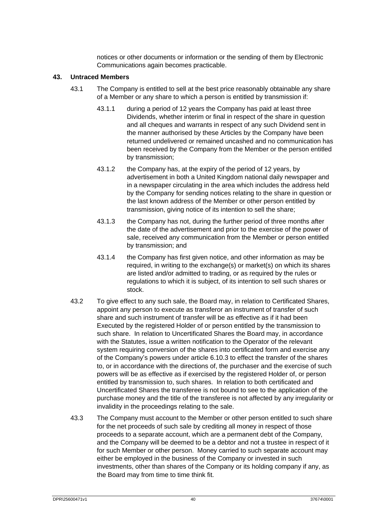notices or other documents or information or the sending of them by Electronic Communications again becomes practicable.

#### <span id="page-43-0"></span>**43. Untraced Members**

- 43.1 The Company is entitled to sell at the best price reasonably obtainable any share of a Member or any share to which a person is entitled by transmission if:
	- 43.1.1 during a period of 12 years the Company has paid at least three Dividends, whether interim or final in respect of the share in question and all cheques and warrants in respect of any such Dividend sent in the manner authorised by these Articles by the Company have been returned undelivered or remained uncashed and no communication has been received by the Company from the Member or the person entitled by transmission;
	- 43.1.2 the Company has, at the expiry of the period of 12 years, by advertisement in both a United Kingdom national daily newspaper and in a newspaper circulating in the area which includes the address held by the Company for sending notices relating to the share in question or the last known address of the Member or other person entitled by transmission, giving notice of its intention to sell the share;
	- 43.1.3 the Company has not, during the further period of three months after the date of the advertisement and prior to the exercise of the power of sale, received any communication from the Member or person entitled by transmission; and
	- 43.1.4 the Company has first given notice, and other information as may be required, in writing to the exchange(s) or market(s) on which its shares are listed and/or admitted to trading, or as required by the rules or regulations to which it is subject, of its intention to sell such shares or stock.
- 43.2 To give effect to any such sale, the Board may, in relation to Certificated Shares, appoint any person to execute as transferor an instrument of transfer of such share and such instrument of transfer will be as effective as if it had been Executed by the registered Holder of or person entitled by the transmission to such share. In relation to Uncertificated Shares the Board may, in accordance with the Statutes, issue a written notification to the Operator of the relevant system requiring conversion of the shares into certificated form and exercise any of the Company's powers under article [6.10.3](#page-10-3) to effect the transfer of the shares to, or in accordance with the directions of, the purchaser and the exercise of such powers will be as effective as if exercised by the registered Holder of, or person entitled by transmission to, such shares. In relation to both certificated and Uncertificated Shares the transferee is not bound to see to the application of the purchase money and the title of the transferee is not affected by any irregularity or invalidity in the proceedings relating to the sale.
- 43.3 The Company must account to the Member or other person entitled to such share for the net proceeds of such sale by crediting all money in respect of those proceeds to a separate account, which are a permanent debt of the Company, and the Company will be deemed to be a debtor and not a trustee in respect of it for such Member or other person. Money carried to such separate account may either be employed in the business of the Company or invested in such investments, other than shares of the Company or its holding company if any, as the Board may from time to time think fit.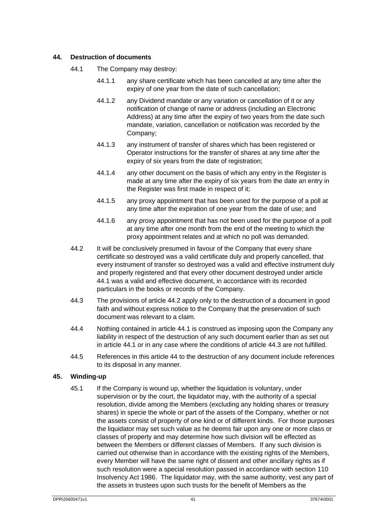#### <span id="page-44-3"></span><span id="page-44-2"></span><span id="page-44-0"></span>**44. Destruction of documents**

- 44.1 The Company may destroy:
	- 44.1.1 any share certificate which has been cancelled at any time after the expiry of one year from the date of such cancellation;
	- 44.1.2 any Dividend mandate or any variation or cancellation of it or any notification of change of name or address (including an Electronic Address) at any time after the expiry of two years from the date such mandate, variation, cancellation or notification was recorded by the Company;
	- 44.1.3 any instrument of transfer of shares which has been registered or Operator instructions for the transfer of shares at any time after the expiry of six years from the date of registration;
	- 44.1.4 any other document on the basis of which any entry in the Register is made at any time after the expiry of six years from the date an entry in the Register was first made in respect of it;
	- 44.1.5 any proxy appointment that has been used for the purpose of a poll at any time after the expiration of one year from the date of use; and
	- 44.1.6 any proxy appointment that has not been used for the purpose of a poll at any time after one month from the end of the meeting to which the proxy appointment relates and at which no poll was demanded.
- <span id="page-44-4"></span>44.2 It will be conclusively presumed in favour of the Company that every share certificate so destroyed was a valid certificate duly and properly cancelled, that every instrument of transfer so destroyed was a valid and effective instrument duly and properly registered and that every other document destroyed under article [44.1](#page-44-3) was a valid and effective document, in accordance with its recorded particulars in the books or records of the Company.
- <span id="page-44-5"></span>44.3 The provisions of article [44.2](#page-44-4) apply only to the destruction of a document in good faith and without express notice to the Company that the preservation of such document was relevant to a claim.
- 44.4 Nothing contained in article [44.1](#page-44-3) is construed as imposing upon the Company any liability in respect of the destruction of any such document earlier than as set out in article [44.1](#page-44-3) or in any case where the conditions of article [44.3](#page-44-5) are not fulfilled.
- 44.5 References in this article [44](#page-44-2) to the destruction of any document include references to its disposal in any manner.

#### <span id="page-44-1"></span>**45. Winding-up**

45.1 If the Company is wound up, whether the liquidation is voluntary, under supervision or by the court, the liquidator may, with the authority of a special resolution, divide among the Members (excluding any holding shares or treasury shares) in specie the whole or part of the assets of the Company, whether or not the assets consist of property of one kind or of different kinds. For those purposes the liquidator may set such value as he deems fair upon any one or more class or classes of property and may determine how such division will be effected as between the Members or different classes of Members. If any such division is carried out otherwise than in accordance with the existing rights of the Members, every Member will have the same right of dissent and other ancillary rights as if such resolution were a special resolution passed in accordance with section 110 Insolvency Act 1986. The liquidator may, with the same authority, vest any part of the assets in trustees upon such trusts for the benefit of Members as the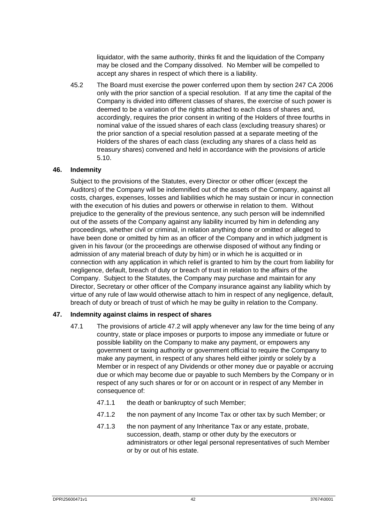liquidator, with the same authority, thinks fit and the liquidation of the Company may be closed and the Company dissolved. No Member will be compelled to accept any shares in respect of which there is a liability.

45.2 The Board must exercise the power conferred upon them by section 247 CA 2006 only with the prior sanction of a special resolution. If at any time the capital of the Company is divided into different classes of shares, the exercise of such power is deemed to be a variation of the rights attached to each class of shares and, accordingly, requires the prior consent in writing of the Holders of three fourths in nominal value of the issued shares of each class (excluding treasury shares) or the prior sanction of a special resolution passed at a separate meeting of the Holders of the shares of each class (excluding any shares of a class held as treasury shares) convened and held in accordance with the provisions of article [5.10.](#page-7-1)

#### <span id="page-45-0"></span>**46. Indemnity**

Subject to the provisions of the Statutes, every Director or other officer (except the Auditors) of the Company will be indemnified out of the assets of the Company, against all costs, charges, expenses, losses and liabilities which he may sustain or incur in connection with the execution of his duties and powers or otherwise in relation to them. Without prejudice to the generality of the previous sentence, any such person will be indemnified out of the assets of the Company against any liability incurred by him in defending any proceedings, whether civil or criminal, in relation anything done or omitted or alleged to have been done or omitted by him as an officer of the Company and in which judgment is given in his favour (or the proceedings are otherwise disposed of without any finding or admission of any material breach of duty by him) or in which he is acquitted or in connection with any application in which relief is granted to him by the court from liability for negligence, default, breach of duty or breach of trust in relation to the affairs of the Company. Subject to the Statutes, the Company may purchase and maintain for any Director, Secretary or other officer of the Company insurance against any liability which by virtue of any rule of law would otherwise attach to him in respect of any negligence, default, breach of duty or breach of trust of which he may be guilty in relation to the Company.

#### <span id="page-45-2"></span><span id="page-45-1"></span>**47. Indemnity against claims in respect of shares**

- 47.1 The provisions of article [47.2](#page-46-0) will apply whenever any law for the time being of any country, state or place imposes or purports to impose any immediate or future or possible liability on the Company to make any payment, or empowers any government or taxing authority or government official to require the Company to make any payment, in respect of any shares held either jointly or solely by a Member or in respect of any Dividends or other money due or payable or accruing due or which may become due or payable to such Members by the Company or in respect of any such shares or for or on account or in respect of any Member in consequence of:
	- 47.1.1 the death or bankruptcy of such Member;
	- 47.1.2 the non payment of any Income Tax or other tax by such Member; or
	- 47.1.3 the non payment of any Inheritance Tax or any estate, probate, succession, death, stamp or other duty by the executors or administrators or other legal personal representatives of such Member or by or out of his estate.